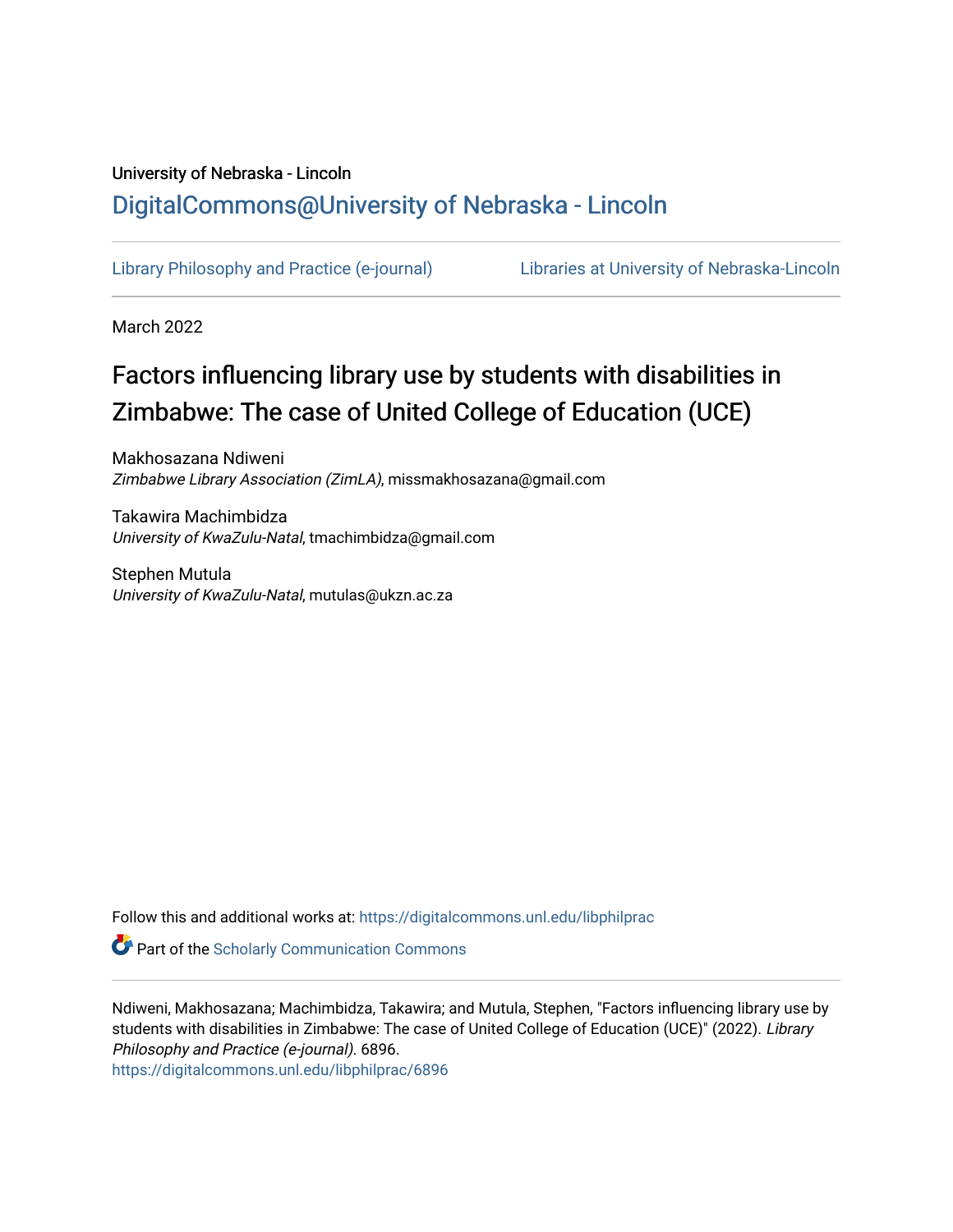## University of Nebraska - Lincoln [DigitalCommons@University of Nebraska - Lincoln](https://digitalcommons.unl.edu/)

[Library Philosophy and Practice \(e-journal\)](https://digitalcommons.unl.edu/libphilprac) [Libraries at University of Nebraska-Lincoln](https://digitalcommons.unl.edu/libraries) 

March 2022

# Factors influencing library use by students with disabilities in Zimbabwe: The case of United College of Education (UCE)

Makhosazana Ndiweni Zimbabwe Library Association (ZimLA), missmakhosazana@gmail.com

Takawira Machimbidza University of KwaZulu-Natal, tmachimbidza@gmail.com

Stephen Mutula University of KwaZulu-Natal, mutulas@ukzn.ac.za

Follow this and additional works at: [https://digitalcommons.unl.edu/libphilprac](https://digitalcommons.unl.edu/libphilprac?utm_source=digitalcommons.unl.edu%2Flibphilprac%2F6896&utm_medium=PDF&utm_campaign=PDFCoverPages) 

**Part of the Scholarly Communication Commons** 

Ndiweni, Makhosazana; Machimbidza, Takawira; and Mutula, Stephen, "Factors influencing library use by students with disabilities in Zimbabwe: The case of United College of Education (UCE)" (2022). Library Philosophy and Practice (e-journal). 6896.

[https://digitalcommons.unl.edu/libphilprac/6896](https://digitalcommons.unl.edu/libphilprac/6896?utm_source=digitalcommons.unl.edu%2Flibphilprac%2F6896&utm_medium=PDF&utm_campaign=PDFCoverPages)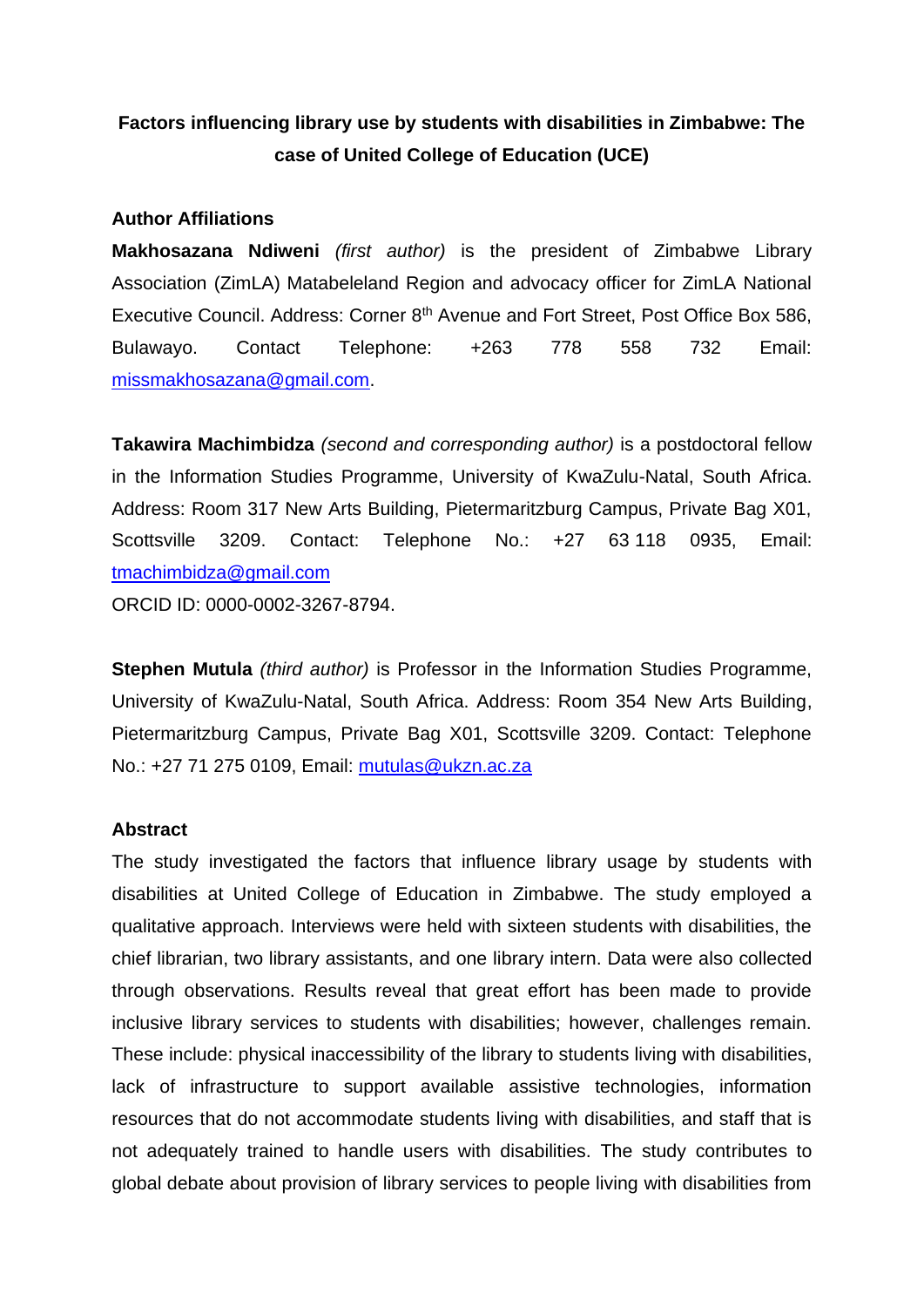## **Factors influencing library use by students with disabilities in Zimbabwe: The case of United College of Education (UCE)**

#### **Author Affiliations**

**Makhosazana Ndiweni** *(first author)* is the president of Zimbabwe Library Association (ZimLA) Matabeleland Region and advocacy officer for ZimLA National Executive Council. Address: Corner 8<sup>th</sup> Avenue and Fort Street, Post Office Box 586, Bulawayo. Contact Telephone: +263 778 558 732 Email: [missmakhosazana@gmail.com.](mailto:missmakhosazana@gmail.com)

**Takawira Machimbidza** *(second and corresponding author)* is a postdoctoral fellow in the Information Studies Programme, University of KwaZulu-Natal, South Africa. Address: Room 317 New Arts Building, Pietermaritzburg Campus, Private Bag X01, Scottsville 3209. Contact: Telephone No.: +27 63 118 0935, Email: [tmachimbidza@gmail.com](mailto:tmachimbidza@gmail.com) ORCID ID: 0000-0002-3267-8794.

**Stephen Mutula** *(third author)* is Professor in the Information Studies Programme, University of KwaZulu-Natal, South Africa. Address: Room 354 New Arts Building, Pietermaritzburg Campus, Private Bag X01, Scottsville 3209. Contact: Telephone No.: +27 71 275 0109, Email: [mutulas@ukzn.ac.za](mailto:mutulas@ukzn.ac.za)

#### **Abstract**

The study investigated the factors that influence library usage by students with disabilities at United College of Education in Zimbabwe. The study employed a qualitative approach. Interviews were held with sixteen students with disabilities, the chief librarian, two library assistants, and one library intern. Data were also collected through observations. Results reveal that great effort has been made to provide inclusive library services to students with disabilities; however, challenges remain. These include: physical inaccessibility of the library to students living with disabilities, lack of infrastructure to support available assistive technologies, information resources that do not accommodate students living with disabilities, and staff that is not adequately trained to handle users with disabilities. The study contributes to global debate about provision of library services to people living with disabilities from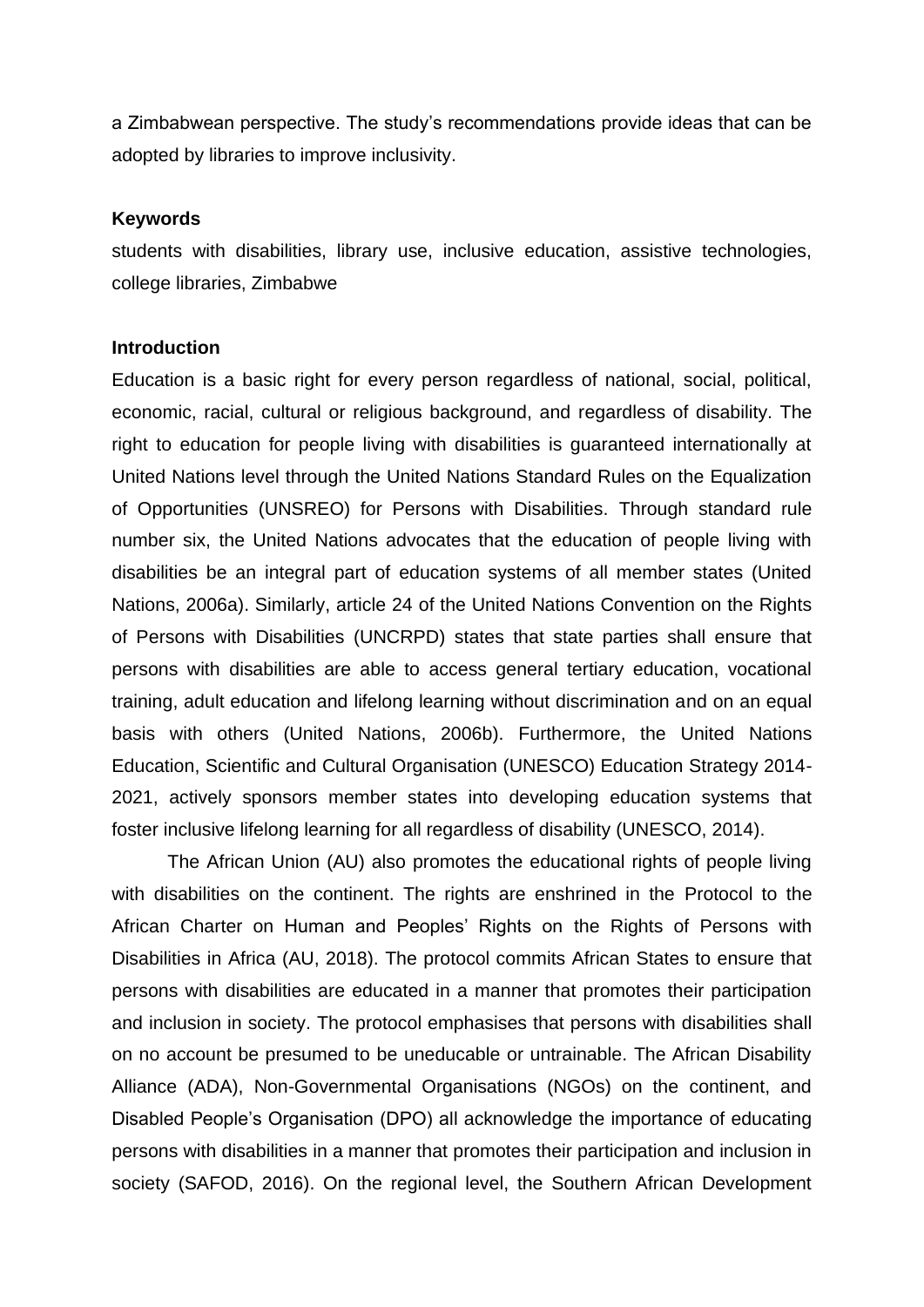a Zimbabwean perspective. The study's recommendations provide ideas that can be adopted by libraries to improve inclusivity.

#### **Keywords**

students with disabilities, library use, inclusive education, assistive technologies, college libraries, Zimbabwe

#### **Introduction**

Education is a basic right for every person regardless of national, social, political, economic, racial, cultural or religious background, and regardless of disability. The right to education for people living with disabilities is guaranteed internationally at United Nations level through the United Nations Standard Rules on the Equalization of Opportunities (UNSREO) for Persons with Disabilities. Through standard rule number six, the United Nations advocates that the education of people living with disabilities be an integral part of education systems of all member states (United Nations, 2006a). Similarly, article 24 of the United Nations Convention on the Rights of Persons with Disabilities (UNCRPD) states that state parties shall ensure that persons with disabilities are able to access general tertiary education, vocational training, adult education and lifelong learning without discrimination and on an equal basis with others (United Nations, 2006b). Furthermore, the United Nations Education, Scientific and Cultural Organisation (UNESCO) Education Strategy 2014- 2021, actively sponsors member states into developing education systems that foster inclusive lifelong learning for all regardless of disability (UNESCO, 2014).

The African Union (AU) also promotes the educational rights of people living with disabilities on the continent. The rights are enshrined in the Protocol to the African Charter on Human and Peoples' Rights on the Rights of Persons with Disabilities in Africa (AU, 2018). The protocol commits African States to ensure that persons with disabilities are educated in a manner that promotes their participation and inclusion in society. The protocol emphasises that persons with disabilities shall on no account be presumed to be uneducable or untrainable. The African Disability Alliance (ADA), Non-Governmental Organisations (NGOs) on the continent, and Disabled People's Organisation (DPO) all acknowledge the importance of educating persons with disabilities in a manner that promotes their participation and inclusion in society (SAFOD, 2016). On the regional level, the Southern African Development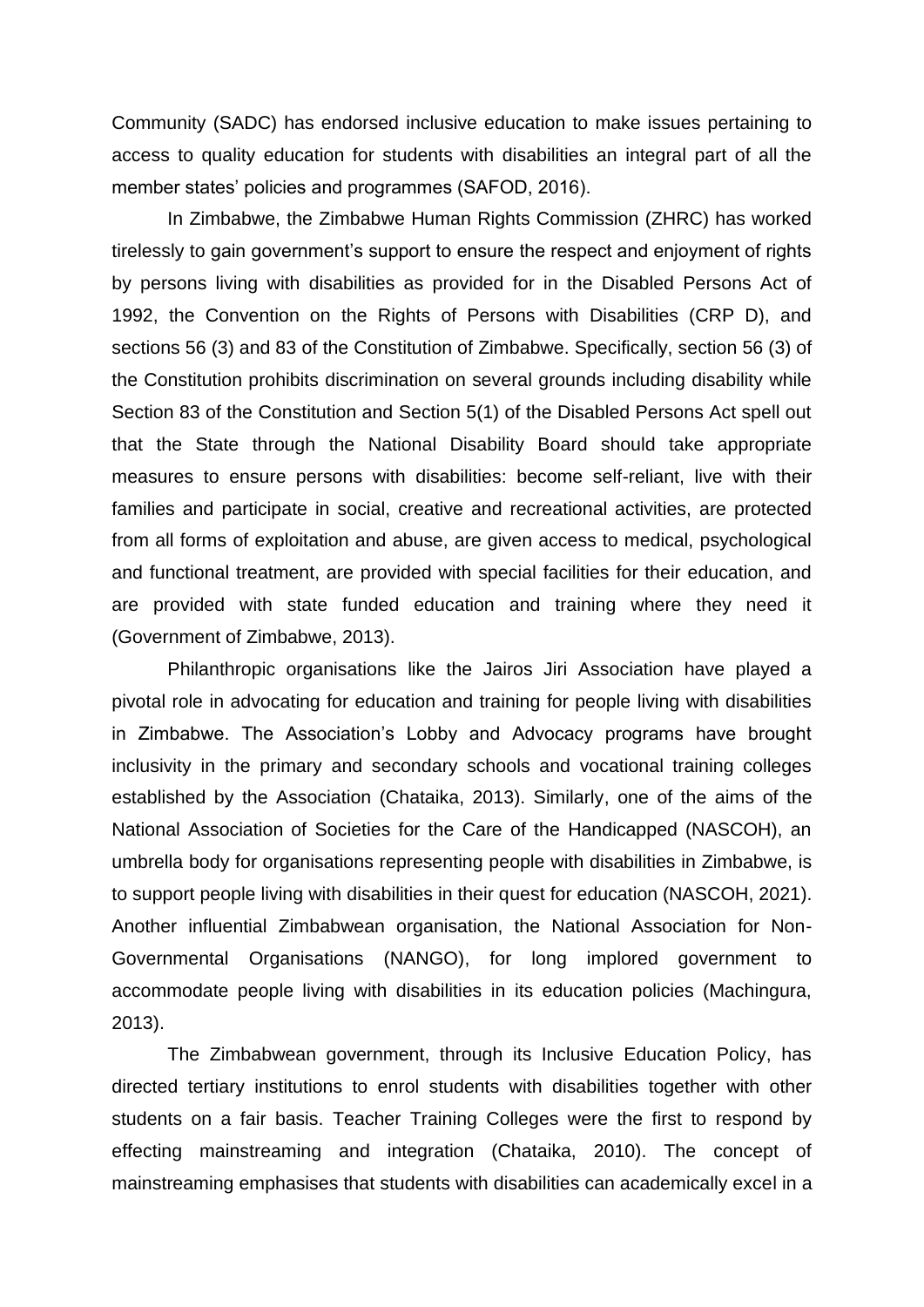Community (SADC) has endorsed inclusive education to make issues pertaining to access to quality education for students with disabilities an integral part of all the member states' policies and programmes (SAFOD, 2016).

In Zimbabwe, the Zimbabwe Human Rights Commission (ZHRC) has worked tirelessly to gain government's support to ensure the respect and enjoyment of rights by persons living with disabilities as provided for in the Disabled Persons Act of 1992, the Convention on the Rights of Persons with Disabilities (CRP D), and sections 56 (3) and 83 of the Constitution of Zimbabwe. Specifically, section 56 (3) of the Constitution prohibits discrimination on several grounds including disability while Section 83 of the Constitution and Section 5(1) of the Disabled Persons Act spell out that the State through the National Disability Board should take appropriate measures to ensure persons with disabilities: become self-reliant, live with their families and participate in social, creative and recreational activities, are protected from all forms of exploitation and abuse, are given access to medical, psychological and functional treatment, are provided with special facilities for their education, and are provided with state funded education and training where they need it (Government of Zimbabwe, 2013).

Philanthropic organisations like the Jairos Jiri Association have played a pivotal role in advocating for education and training for people living with disabilities in Zimbabwe. The Association's Lobby and Advocacy programs have brought inclusivity in the primary and secondary schools and vocational training colleges established by the Association (Chataika, 2013). Similarly, one of the aims of the National Association of Societies for the Care of the Handicapped (NASCOH), an umbrella body for organisations representing people with disabilities in Zimbabwe, is to support people living with disabilities in their quest for education (NASCOH, 2021). Another influential Zimbabwean organisation, the National Association for Non-Governmental Organisations (NANGO), for long implored government to accommodate people living with disabilities in its education policies (Machingura, 2013).

The Zimbabwean government, through its Inclusive Education Policy, has directed tertiary institutions to enrol students with disabilities together with other students on a fair basis. Teacher Training Colleges were the first to respond by effecting mainstreaming and integration (Chataika, 2010). The concept of mainstreaming emphasises that students with disabilities can academically excel in a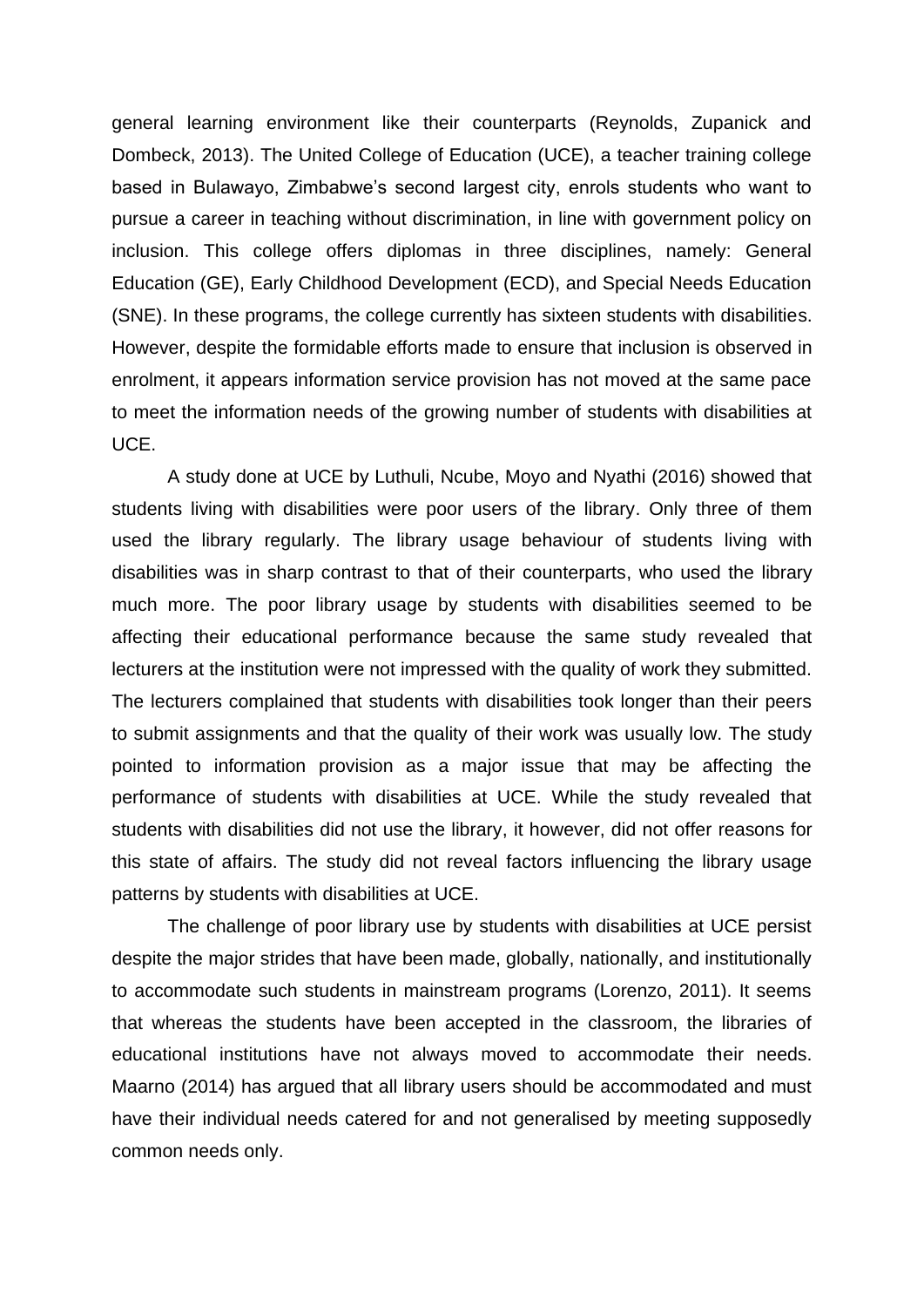general learning environment like their counterparts (Reynolds, Zupanick and Dombeck, 2013). The United College of Education (UCE), a teacher training college based in Bulawayo, Zimbabwe's second largest city, enrols students who want to pursue a career in teaching without discrimination, in line with government policy on inclusion. This college offers diplomas in three disciplines, namely: General Education (GE), Early Childhood Development (ECD), and Special Needs Education (SNE). In these programs, the college currently has sixteen students with disabilities. However, despite the formidable efforts made to ensure that inclusion is observed in enrolment, it appears information service provision has not moved at the same pace to meet the information needs of the growing number of students with disabilities at UCE.

A study done at UCE by Luthuli, Ncube, Moyo and Nyathi (2016) showed that students living with disabilities were poor users of the library. Only three of them used the library regularly. The library usage behaviour of students living with disabilities was in sharp contrast to that of their counterparts, who used the library much more. The poor library usage by students with disabilities seemed to be affecting their educational performance because the same study revealed that lecturers at the institution were not impressed with the quality of work they submitted. The lecturers complained that students with disabilities took longer than their peers to submit assignments and that the quality of their work was usually low. The study pointed to information provision as a major issue that may be affecting the performance of students with disabilities at UCE. While the study revealed that students with disabilities did not use the library, it however, did not offer reasons for this state of affairs. The study did not reveal factors influencing the library usage patterns by students with disabilities at UCE.

The challenge of poor library use by students with disabilities at UCE persist despite the major strides that have been made, globally, nationally, and institutionally to accommodate such students in mainstream programs (Lorenzo, 2011). It seems that whereas the students have been accepted in the classroom, the libraries of educational institutions have not always moved to accommodate their needs. Maarno (2014) has argued that all library users should be accommodated and must have their individual needs catered for and not generalised by meeting supposedly common needs only.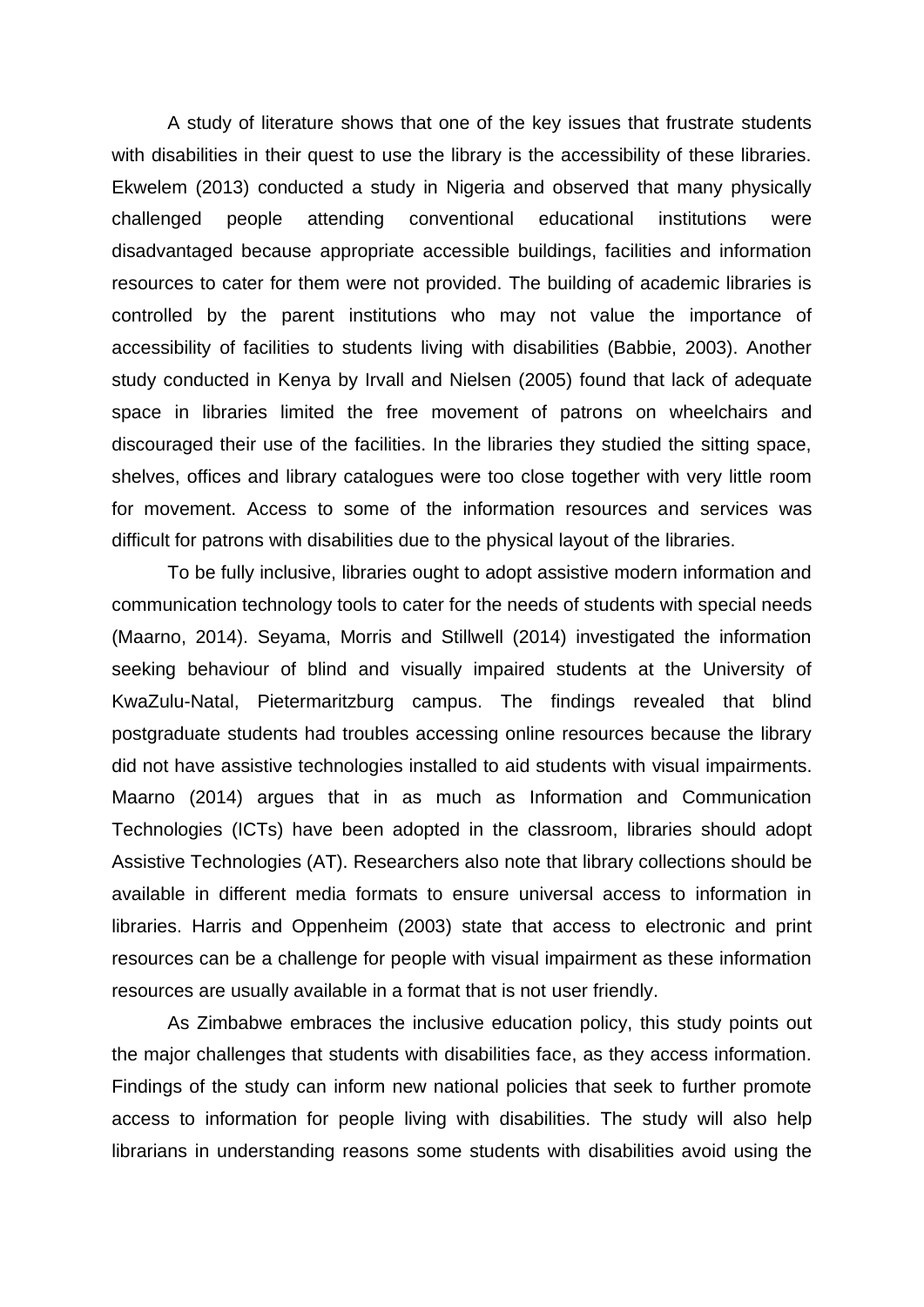A study of literature shows that one of the key issues that frustrate students with disabilities in their quest to use the library is the accessibility of these libraries. Ekwelem (2013) conducted a study in Nigeria and observed that many physically challenged people attending conventional educational institutions were disadvantaged because appropriate accessible buildings, facilities and information resources to cater for them were not provided. The building of academic libraries is controlled by the parent institutions who may not value the importance of accessibility of facilities to students living with disabilities (Babbie, 2003). Another study conducted in Kenya by Irvall and Nielsen (2005) found that lack of adequate space in libraries limited the free movement of patrons on wheelchairs and discouraged their use of the facilities. In the libraries they studied the sitting space, shelves, offices and library catalogues were too close together with very little room for movement. Access to some of the information resources and services was difficult for patrons with disabilities due to the physical layout of the libraries.

To be fully inclusive, libraries ought to adopt assistive modern information and communication technology tools to cater for the needs of students with special needs (Maarno, 2014). Seyama, Morris and Stillwell (2014) investigated the information seeking behaviour of blind and visually impaired students at the University of KwaZulu-Natal, Pietermaritzburg campus. The findings revealed that blind postgraduate students had troubles accessing online resources because the library did not have assistive technologies installed to aid students with visual impairments. Maarno (2014) argues that in as much as Information and Communication Technologies (ICTs) have been adopted in the classroom, libraries should adopt Assistive Technologies (AT). Researchers also note that library collections should be available in different media formats to ensure universal access to information in libraries. Harris and Oppenheim (2003) state that access to electronic and print resources can be a challenge for people with visual impairment as these information resources are usually available in a format that is not user friendly.

As Zimbabwe embraces the inclusive education policy, this study points out the major challenges that students with disabilities face, as they access information. Findings of the study can inform new national policies that seek to further promote access to information for people living with disabilities. The study will also help librarians in understanding reasons some students with disabilities avoid using the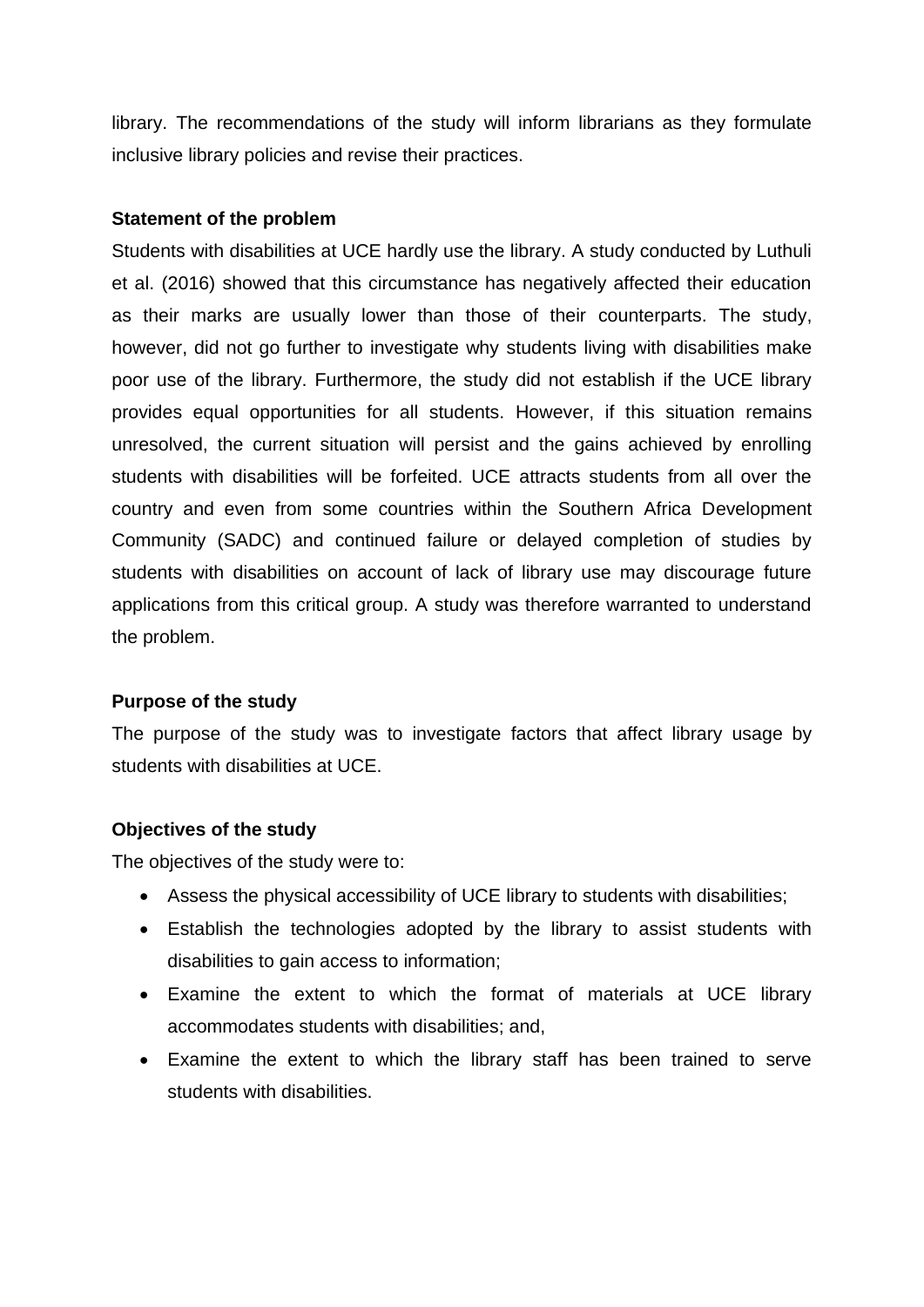library. The recommendations of the study will inform librarians as they formulate inclusive library policies and revise their practices.

#### **Statement of the problem**

Students with disabilities at UCE hardly use the library. A study conducted by Luthuli et al. (2016) showed that this circumstance has negatively affected their education as their marks are usually lower than those of their counterparts. The study, however, did not go further to investigate why students living with disabilities make poor use of the library. Furthermore, the study did not establish if the UCE library provides equal opportunities for all students. However, if this situation remains unresolved, the current situation will persist and the gains achieved by enrolling students with disabilities will be forfeited. UCE attracts students from all over the country and even from some countries within the Southern Africa Development Community (SADC) and continued failure or delayed completion of studies by students with disabilities on account of lack of library use may discourage future applications from this critical group. A study was therefore warranted to understand the problem.

#### **Purpose of the study**

The purpose of the study was to investigate factors that affect library usage by students with disabilities at UCE.

#### **Objectives of the study**

The objectives of the study were to:

- Assess the physical accessibility of UCE library to students with disabilities;
- Establish the technologies adopted by the library to assist students with disabilities to gain access to information;
- Examine the extent to which the format of materials at UCE library accommodates students with disabilities; and,
- Examine the extent to which the library staff has been trained to serve students with disabilities.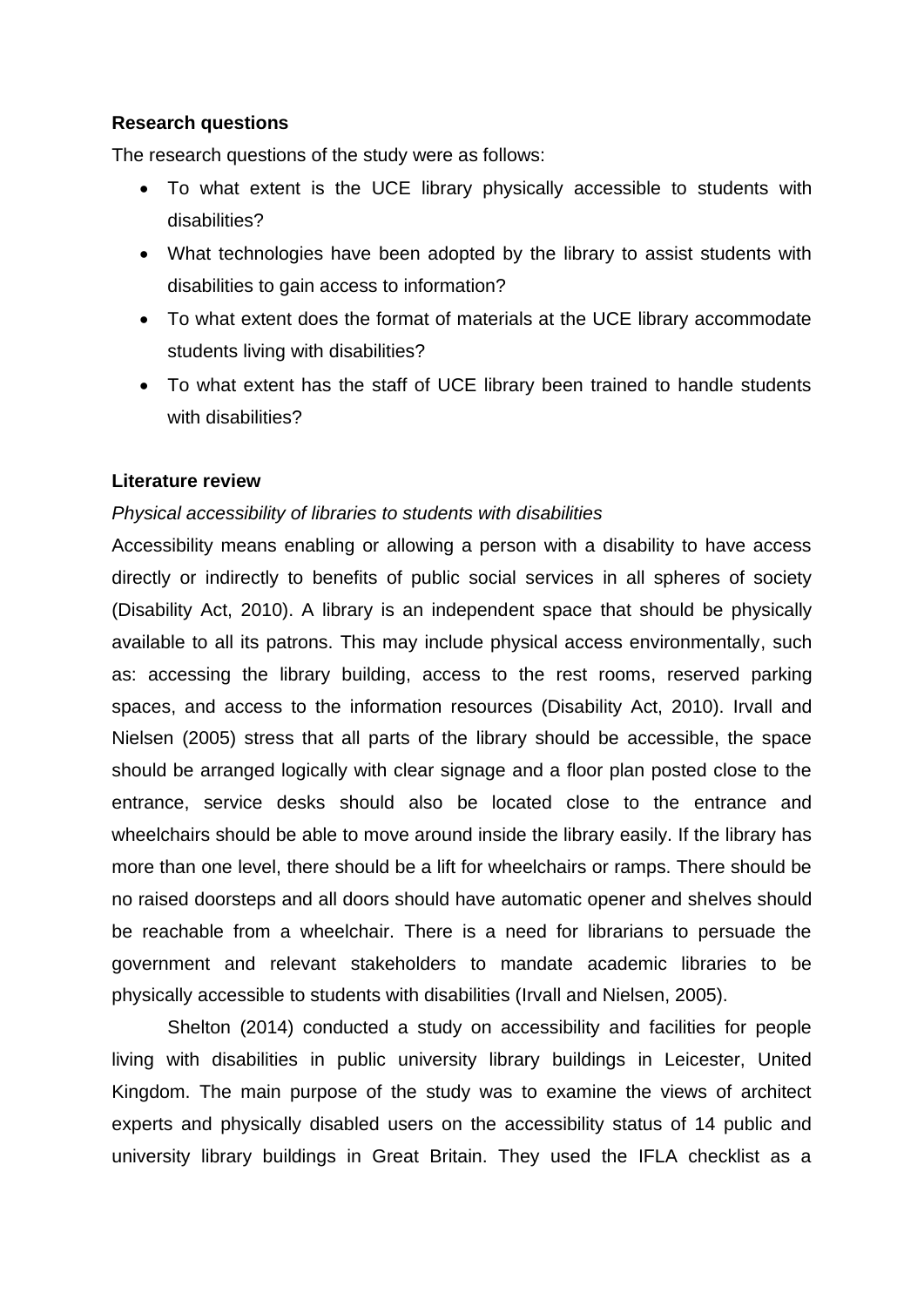#### **Research questions**

The research questions of the study were as follows:

- To what extent is the UCE library physically accessible to students with disabilities?
- What technologies have been adopted by the library to assist students with disabilities to gain access to information?
- To what extent does the format of materials at the UCE library accommodate students living with disabilities?
- To what extent has the staff of UCE library been trained to handle students with disabilities?

#### **Literature review**

#### *Physical accessibility of libraries to students with disabilities*

Accessibility means enabling or allowing a person with a disability to have access directly or indirectly to benefits of public social services in all spheres of society (Disability Act, 2010). A library is an independent space that should be physically available to all its patrons. This may include physical access environmentally, such as: accessing the library building, access to the rest rooms, reserved parking spaces, and access to the information resources (Disability Act, 2010). Irvall and Nielsen (2005) stress that all parts of the library should be accessible, the space should be arranged logically with clear signage and a floor plan posted close to the entrance, service desks should also be located close to the entrance and wheelchairs should be able to move around inside the library easily. If the library has more than one level, there should be a lift for wheelchairs or ramps. There should be no raised doorsteps and all doors should have automatic opener and shelves should be reachable from a wheelchair. There is a need for librarians to persuade the government and relevant stakeholders to mandate academic libraries to be physically accessible to students with disabilities (Irvall and Nielsen, 2005).

Shelton (2014) conducted a study on accessibility and facilities for people living with disabilities in public university library buildings in Leicester, United Kingdom. The main purpose of the study was to examine the views of architect experts and physically disabled users on the accessibility status of 14 public and university library buildings in Great Britain. They used the IFLA checklist as a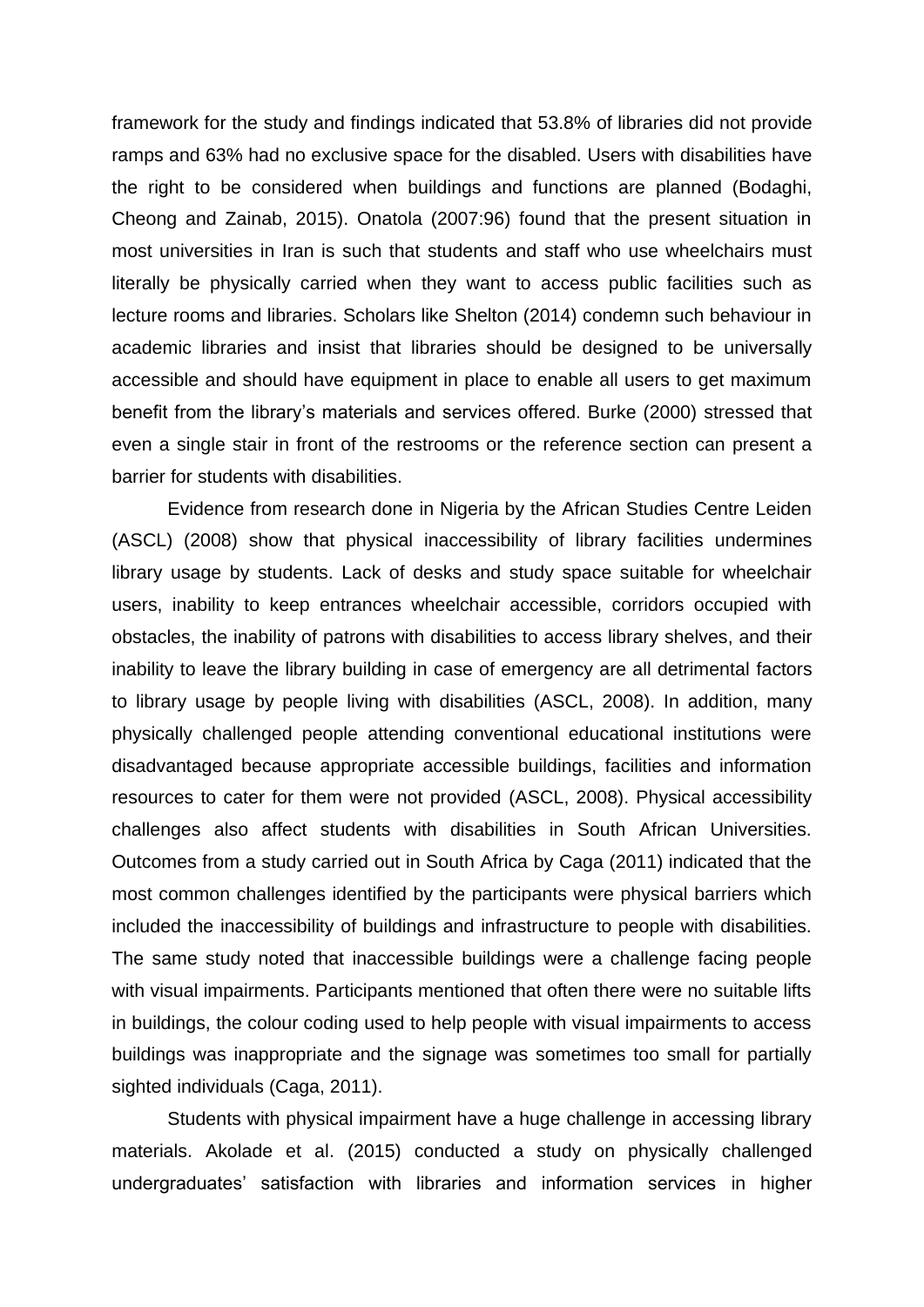framework for the study and findings indicated that 53.8% of libraries did not provide ramps and 63% had no exclusive space for the disabled. Users with disabilities have the right to be considered when buildings and functions are planned (Bodaghi, Cheong and Zainab, 2015). Onatola (2007:96) found that the present situation in most universities in Iran is such that students and staff who use wheelchairs must literally be physically carried when they want to access public facilities such as lecture rooms and libraries. Scholars like Shelton (2014) condemn such behaviour in academic libraries and insist that libraries should be designed to be universally accessible and should have equipment in place to enable all users to get maximum benefit from the library's materials and services offered. Burke (2000) stressed that even a single stair in front of the restrooms or the reference section can present a barrier for students with disabilities.

Evidence from research done in Nigeria by the African Studies Centre Leiden (ASCL) (2008) show that physical inaccessibility of library facilities undermines library usage by students. Lack of desks and study space suitable for wheelchair users, inability to keep entrances wheelchair accessible, corridors occupied with obstacles, the inability of patrons with disabilities to access library shelves, and their inability to leave the library building in case of emergency are all detrimental factors to library usage by people living with disabilities (ASCL, 2008). In addition, many physically challenged people attending conventional educational institutions were disadvantaged because appropriate accessible buildings, facilities and information resources to cater for them were not provided (ASCL, 2008). Physical accessibility challenges also affect students with disabilities in South African Universities. Outcomes from a study carried out in South Africa by Caga (2011) indicated that the most common challenges identified by the participants were physical barriers which included the inaccessibility of buildings and infrastructure to people with disabilities. The same study noted that inaccessible buildings were a challenge facing people with visual impairments. Participants mentioned that often there were no suitable lifts in buildings, the colour coding used to help people with visual impairments to access buildings was inappropriate and the signage was sometimes too small for partially sighted individuals (Caga, 2011).

Students with physical impairment have a huge challenge in accessing library materials. Akolade et al. (2015) conducted a study on physically challenged undergraduates' satisfaction with libraries and information services in higher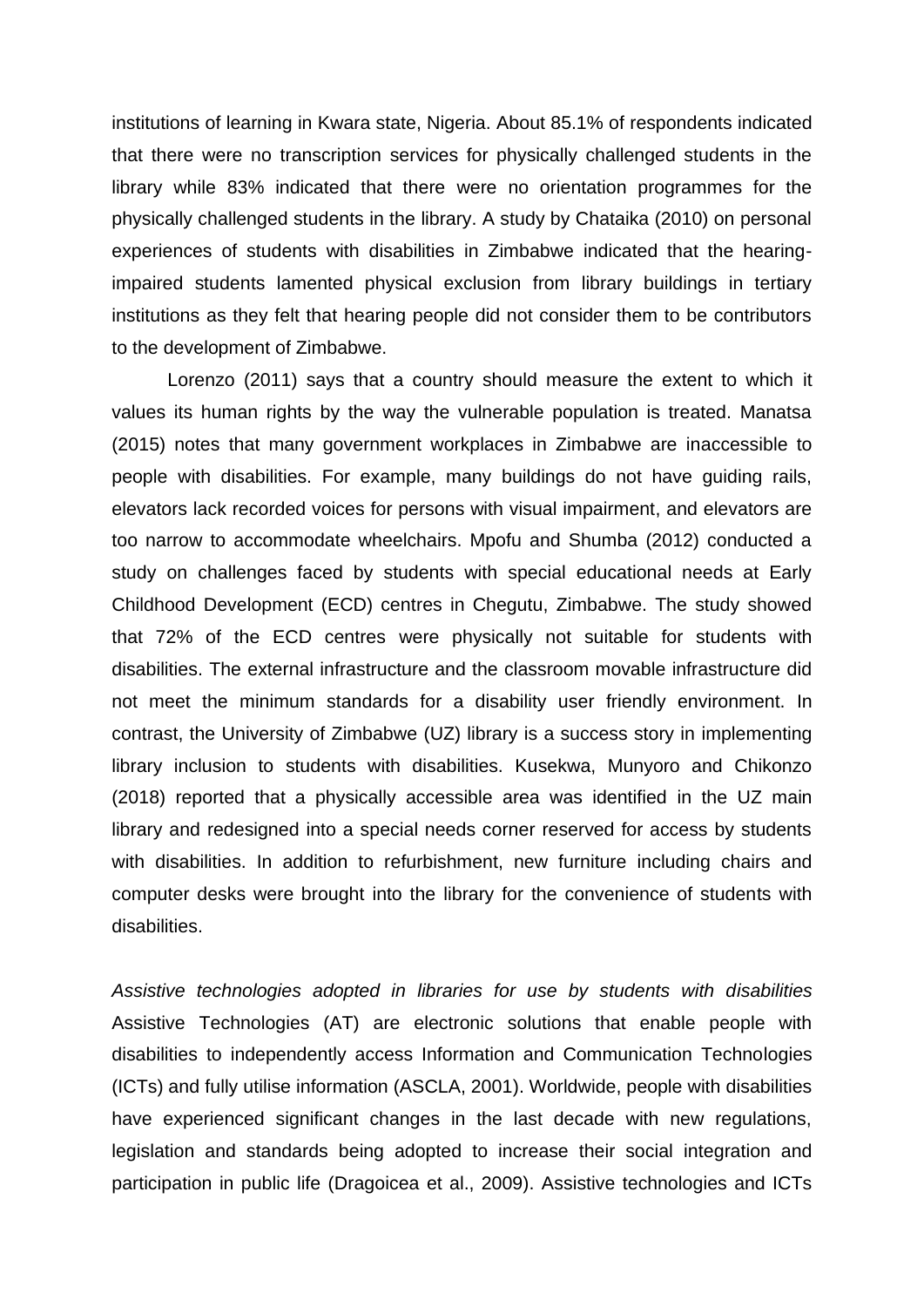institutions of learning in Kwara state, Nigeria. About 85.1% of respondents indicated that there were no transcription services for physically challenged students in the library while 83% indicated that there were no orientation programmes for the physically challenged students in the library. A study by Chataika (2010) on personal experiences of students with disabilities in Zimbabwe indicated that the hearingimpaired students lamented physical exclusion from library buildings in tertiary institutions as they felt that hearing people did not consider them to be contributors to the development of Zimbabwe.

Lorenzo (2011) says that a country should measure the extent to which it values its human rights by the way the vulnerable population is treated. Manatsa (2015) notes that many government workplaces in Zimbabwe are inaccessible to people with disabilities. For example, many buildings do not have guiding rails, elevators lack recorded voices for persons with visual impairment, and elevators are too narrow to accommodate wheelchairs. Mpofu and Shumba (2012) conducted a study on challenges faced by students with special educational needs at Early Childhood Development (ECD) centres in Chegutu, Zimbabwe. The study showed that 72% of the ECD centres were physically not suitable for students with disabilities. The external infrastructure and the classroom movable infrastructure did not meet the minimum standards for a disability user friendly environment. In contrast, the University of Zimbabwe (UZ) library is a success story in implementing library inclusion to students with disabilities. Kusekwa, Munyoro and Chikonzo (2018) reported that a physically accessible area was identified in the UZ main library and redesigned into a special needs corner reserved for access by students with disabilities. In addition to refurbishment, new furniture including chairs and computer desks were brought into the library for the convenience of students with disabilities.

*Assistive technologies adopted in libraries for use by students with disabilities*  Assistive Technologies (AT) are electronic solutions that enable people with disabilities to independently access Information and Communication Technologies (ICTs) and fully utilise information (ASCLA, 2001). Worldwide, people with disabilities have experienced significant changes in the last decade with new regulations, legislation and standards being adopted to increase their social integration and participation in public life (Dragoicea et al., 2009). Assistive technologies and ICTs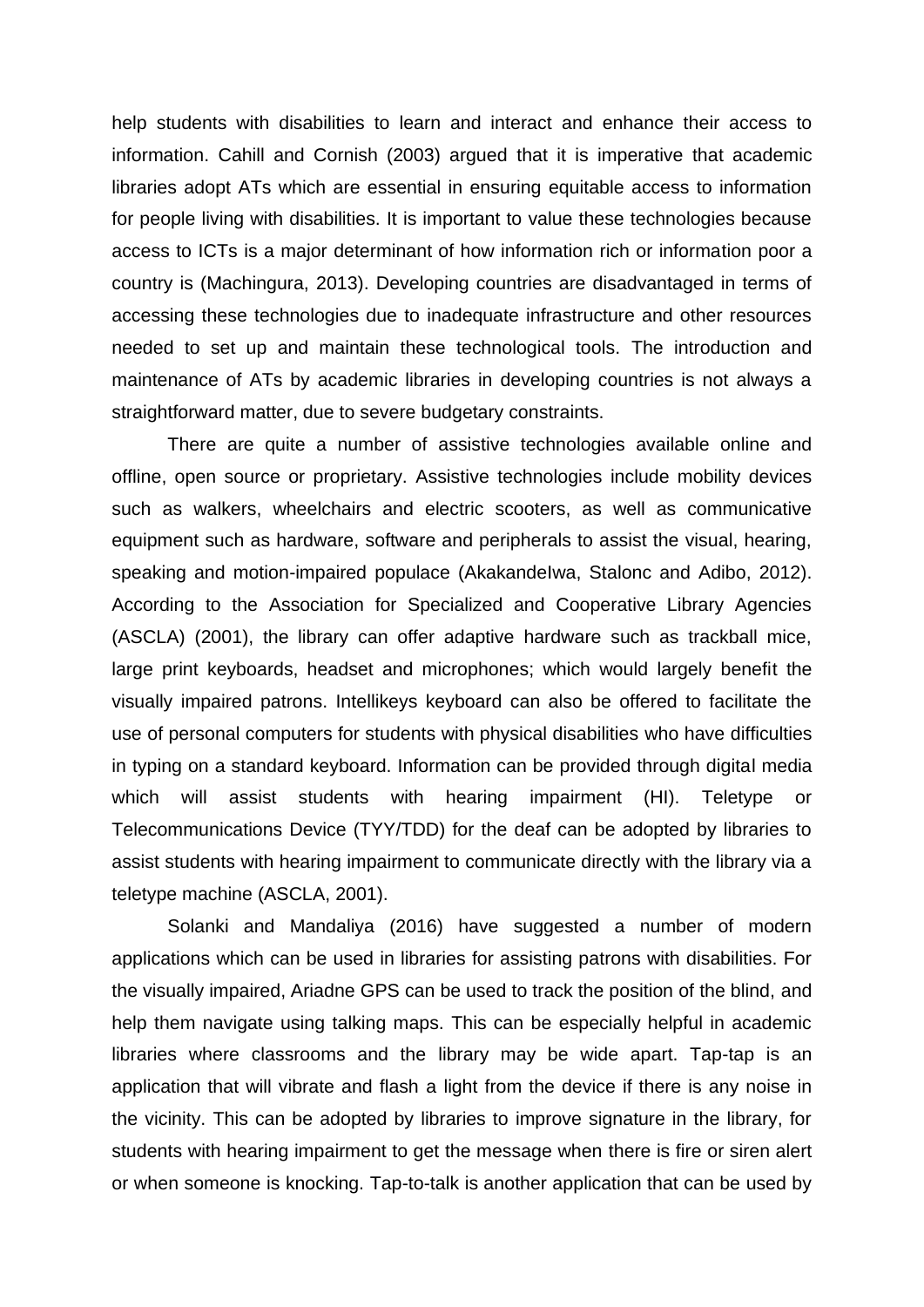help students with disabilities to learn and interact and enhance their access to information. Cahill and Cornish (2003) argued that it is imperative that academic libraries adopt ATs which are essential in ensuring equitable access to information for people living with disabilities. It is important to value these technologies because access to ICTs is a major determinant of how information rich or information poor a country is (Machingura, 2013). Developing countries are disadvantaged in terms of accessing these technologies due to inadequate infrastructure and other resources needed to set up and maintain these technological tools. The introduction and maintenance of ATs by academic libraries in developing countries is not always a straightforward matter, due to severe budgetary constraints.

There are quite a number of assistive technologies available online and offline, open source or proprietary. Assistive technologies include mobility devices such as walkers, wheelchairs and electric scooters, as well as communicative equipment such as hardware, software and peripherals to assist the visual, hearing, speaking and motion-impaired populace (Akakandelwa, Stalonc and Adibo, 2012). According to the Association for Specialized and Cooperative Library Agencies (ASCLA) (2001), the library can offer adaptive hardware such as trackball mice, large print keyboards, headset and microphones; which would largely benefit the visually impaired patrons. Intellikeys keyboard can also be offered to facilitate the use of personal computers for students with physical disabilities who have difficulties in typing on a standard keyboard. Information can be provided through digital media which will assist students with hearing impairment (HI). Teletype or Telecommunications Device (TYY/TDD) for the deaf can be adopted by libraries to assist students with hearing impairment to communicate directly with the library via a teletype machine (ASCLA, 2001).

Solanki and Mandaliya (2016) have suggested a number of modern applications which can be used in libraries for assisting patrons with disabilities. For the visually impaired, Ariadne GPS can be used to track the position of the blind, and help them navigate using talking maps. This can be especially helpful in academic libraries where classrooms and the library may be wide apart. Tap-tap is an application that will vibrate and flash a light from the device if there is any noise in the vicinity. This can be adopted by libraries to improve signature in the library, for students with hearing impairment to get the message when there is fire or siren alert or when someone is knocking. Tap-to-talk is another application that can be used by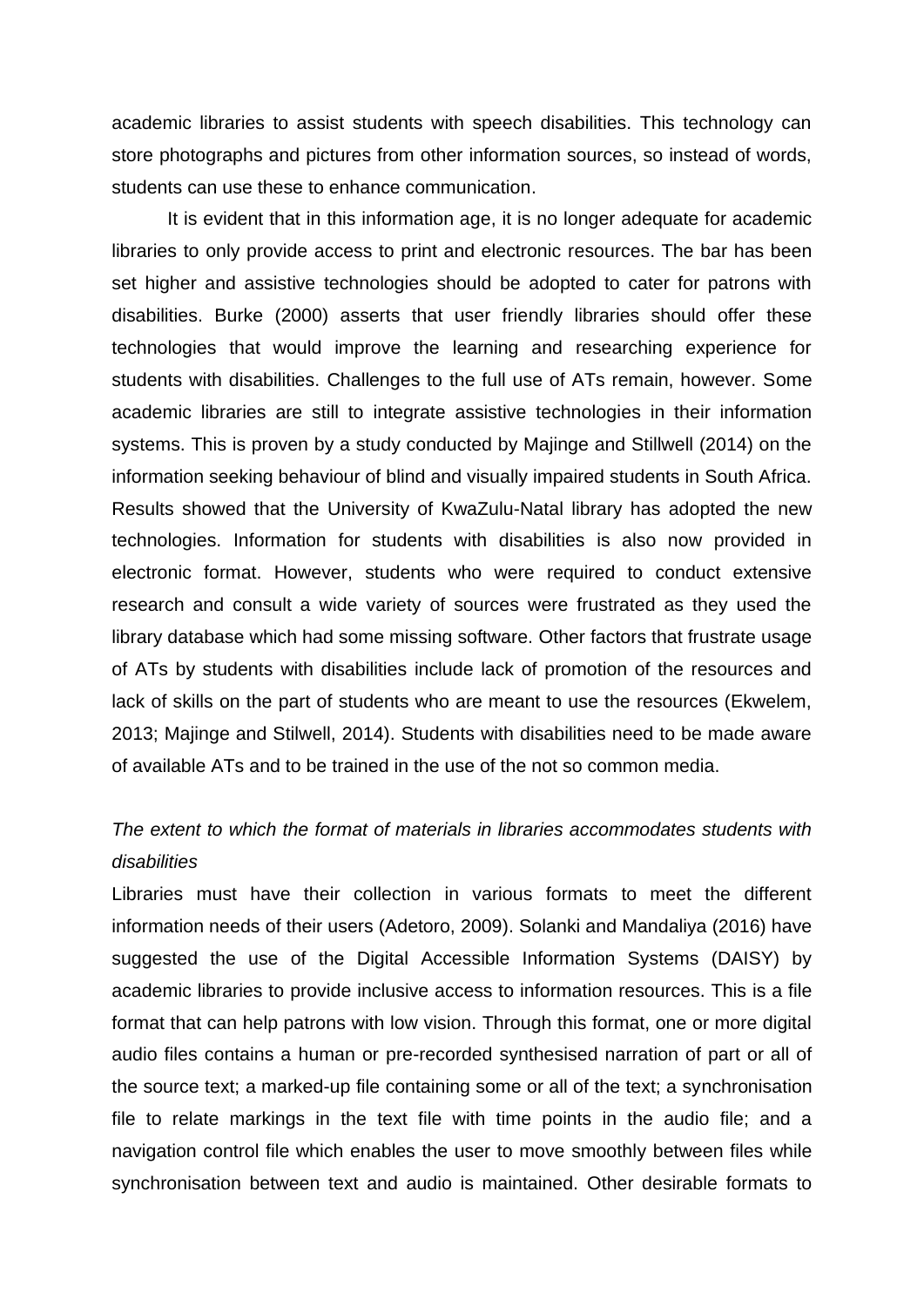academic libraries to assist students with speech disabilities. This technology can store photographs and pictures from other information sources, so instead of words, students can use these to enhance communication.

It is evident that in this information age, it is no longer adequate for academic libraries to only provide access to print and electronic resources. The bar has been set higher and assistive technologies should be adopted to cater for patrons with disabilities. Burke (2000) asserts that user friendly libraries should offer these technologies that would improve the learning and researching experience for students with disabilities. Challenges to the full use of ATs remain, however. Some academic libraries are still to integrate assistive technologies in their information systems. This is proven by a study conducted by Majinge and Stillwell (2014) on the information seeking behaviour of blind and visually impaired students in South Africa. Results showed that the University of KwaZulu-Natal library has adopted the new technologies. Information for students with disabilities is also now provided in electronic format. However, students who were required to conduct extensive research and consult a wide variety of sources were frustrated as they used the library database which had some missing software. Other factors that frustrate usage of ATs by students with disabilities include lack of promotion of the resources and lack of skills on the part of students who are meant to use the resources (Ekwelem, 2013; Majinge and Stilwell, 2014). Students with disabilities need to be made aware of available ATs and to be trained in the use of the not so common media.

## *The extent to which the format of materials in libraries accommodates students with disabilities*

Libraries must have their collection in various formats to meet the different information needs of their users (Adetoro, 2009). Solanki and Mandaliya (2016) have suggested the use of the Digital Accessible Information Systems (DAISY) by academic libraries to provide inclusive access to information resources. This is a file format that can help patrons with low vision. Through this format, one or more digital audio files contains a human or pre-recorded synthesised narration of part or all of the source text; a marked-up file containing some or all of the text; a synchronisation file to relate markings in the text file with time points in the audio file; and a navigation control file which enables the user to move smoothly between files while synchronisation between text and audio is maintained. Other desirable formats to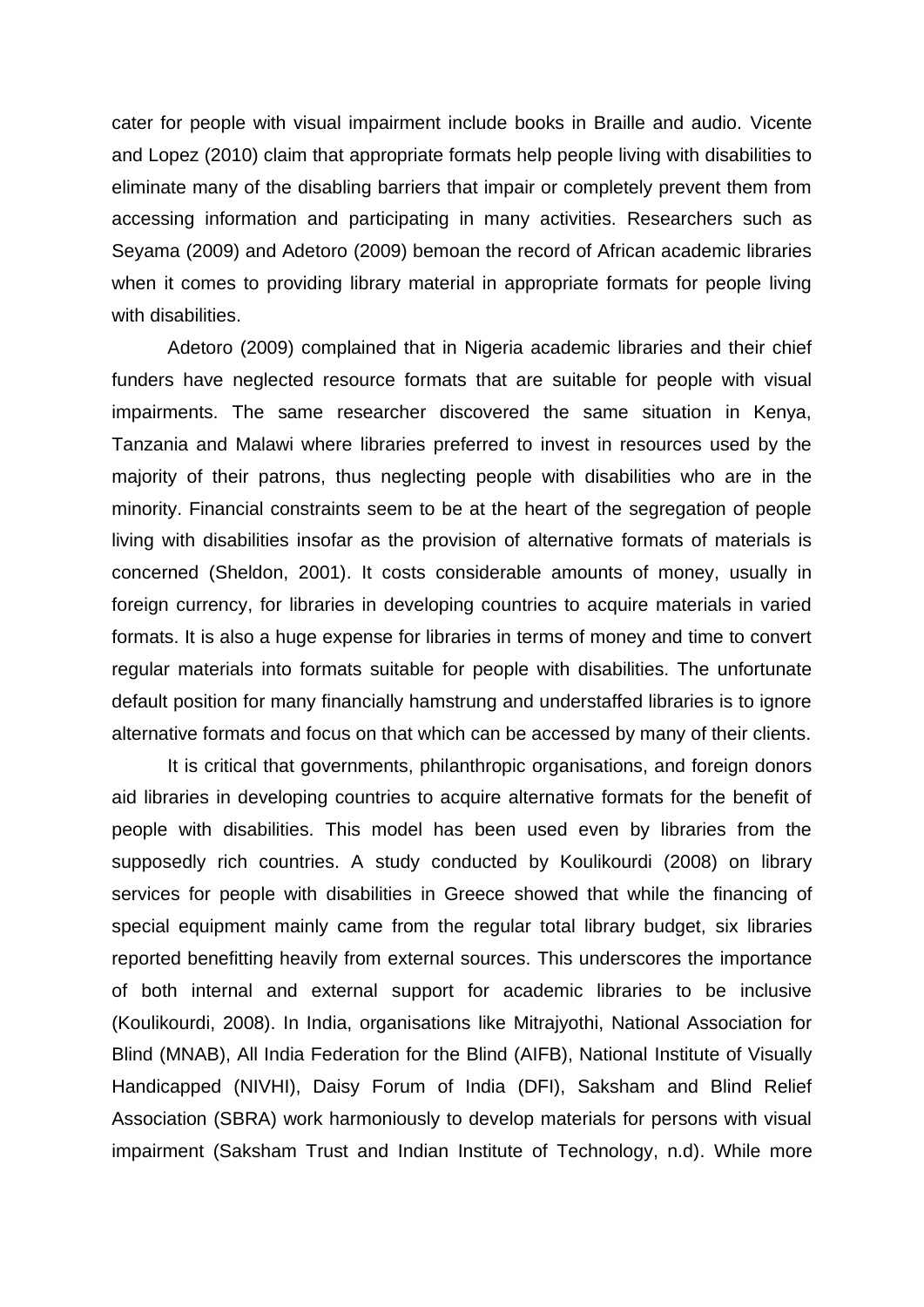cater for people with visual impairment include books in Braille and audio. Vicente and Lopez (2010) claim that appropriate formats help people living with disabilities to eliminate many of the disabling barriers that impair or completely prevent them from accessing information and participating in many activities. Researchers such as Seyama (2009) and Adetoro (2009) bemoan the record of African academic libraries when it comes to providing library material in appropriate formats for people living with disabilities.

Adetoro (2009) complained that in Nigeria academic libraries and their chief funders have neglected resource formats that are suitable for people with visual impairments. The same researcher discovered the same situation in Kenya, Tanzania and Malawi where libraries preferred to invest in resources used by the majority of their patrons, thus neglecting people with disabilities who are in the minority. Financial constraints seem to be at the heart of the segregation of people living with disabilities insofar as the provision of alternative formats of materials is concerned (Sheldon, 2001). It costs considerable amounts of money, usually in foreign currency, for libraries in developing countries to acquire materials in varied formats. It is also a huge expense for libraries in terms of money and time to convert regular materials into formats suitable for people with disabilities. The unfortunate default position for many financially hamstrung and understaffed libraries is to ignore alternative formats and focus on that which can be accessed by many of their clients.

It is critical that governments, philanthropic organisations, and foreign donors aid libraries in developing countries to acquire alternative formats for the benefit of people with disabilities. This model has been used even by libraries from the supposedly rich countries. A study conducted by Koulikourdi (2008) on library services for people with disabilities in Greece showed that while the financing of special equipment mainly came from the regular total library budget, six libraries reported benefitting heavily from external sources. This underscores the importance of both internal and external support for academic libraries to be inclusive (Koulikourdi, 2008). In India, organisations like Mitrajyothi, National Association for Blind (MNAB), All India Federation for the Blind (AIFB), National Institute of Visually Handicapped (NIVHI), Daisy Forum of India (DFI), Saksham and Blind Relief Association (SBRA) work harmoniously to develop materials for persons with visual impairment (Saksham Trust and Indian Institute of Technology, n.d). While more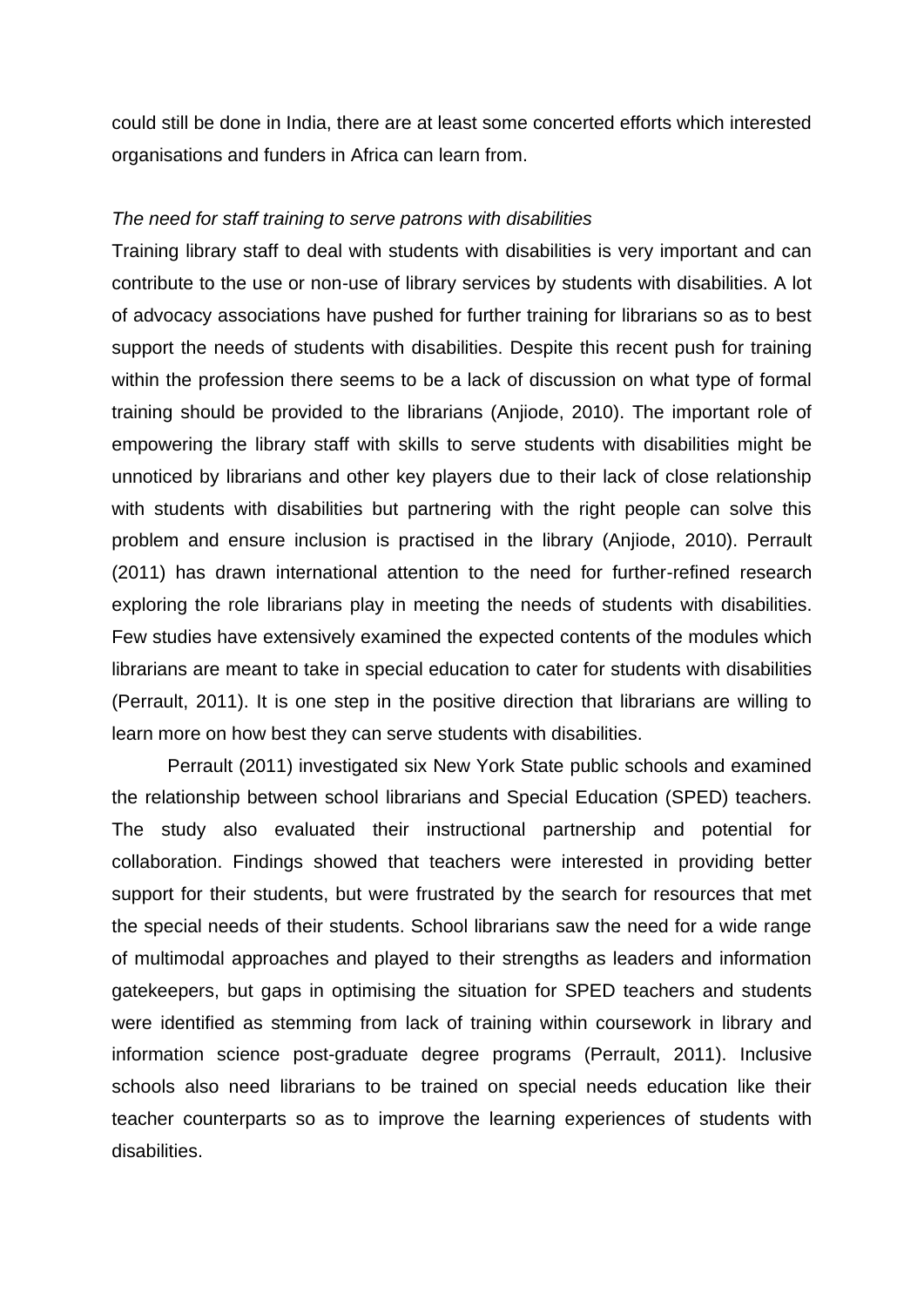could still be done in India, there are at least some concerted efforts which interested organisations and funders in Africa can learn from.

#### *The need for staff training to serve patrons with disabilities*

Training library staff to deal with students with disabilities is very important and can contribute to the use or non-use of library services by students with disabilities. A lot of advocacy associations have pushed for further training for librarians so as to best support the needs of students with disabilities. Despite this recent push for training within the profession there seems to be a lack of discussion on what type of formal training should be provided to the librarians (Anjiode, 2010). The important role of empowering the library staff with skills to serve students with disabilities might be unnoticed by librarians and other key players due to their lack of close relationship with students with disabilities but partnering with the right people can solve this problem and ensure inclusion is practised in the library (Anjiode, 2010). Perrault (2011) has drawn international attention to the need for further-refined research exploring the role librarians play in meeting the needs of students with disabilities. Few studies have extensively examined the expected contents of the modules which librarians are meant to take in special education to cater for students with disabilities (Perrault, 2011). It is one step in the positive direction that librarians are willing to learn more on how best they can serve students with disabilities.

Perrault (2011) investigated six New York State public schools and examined the relationship between school librarians and Special Education (SPED) teachers. The study also evaluated their instructional partnership and potential for collaboration. Findings showed that teachers were interested in providing better support for their students, but were frustrated by the search for resources that met the special needs of their students. School librarians saw the need for a wide range of multimodal approaches and played to their strengths as leaders and information gatekeepers, but gaps in optimising the situation for SPED teachers and students were identified as stemming from lack of training within coursework in library and information science post-graduate degree programs (Perrault, 2011). Inclusive schools also need librarians to be trained on special needs education like their teacher counterparts so as to improve the learning experiences of students with disabilities.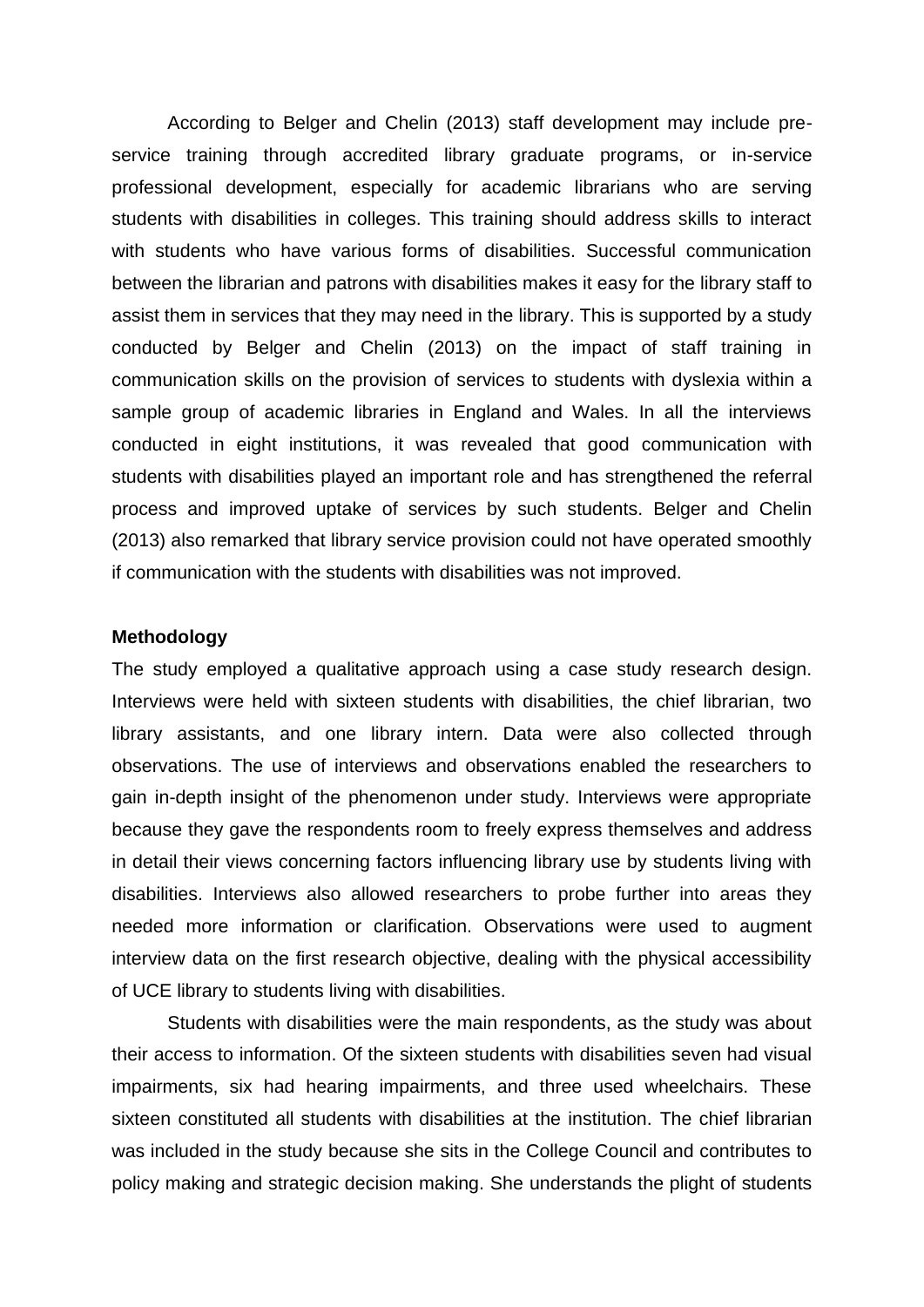According to Belger and Chelin (2013) staff development may include preservice training through accredited library graduate programs, or in-service professional development, especially for academic librarians who are serving students with disabilities in colleges. This training should address skills to interact with students who have various forms of disabilities. Successful communication between the librarian and patrons with disabilities makes it easy for the library staff to assist them in services that they may need in the library. This is supported by a study conducted by Belger and Chelin (2013) on the impact of staff training in communication skills on the provision of services to students with dyslexia within a sample group of academic libraries in England and Wales. In all the interviews conducted in eight institutions, it was revealed that good communication with students with disabilities played an important role and has strengthened the referral process and improved uptake of services by such students. Belger and Chelin (2013) also remarked that library service provision could not have operated smoothly if communication with the students with disabilities was not improved.

#### **Methodology**

The study employed a qualitative approach using a case study research design. Interviews were held with sixteen students with disabilities, the chief librarian, two library assistants, and one library intern. Data were also collected through observations. The use of interviews and observations enabled the researchers to gain in-depth insight of the phenomenon under study. Interviews were appropriate because they gave the respondents room to freely express themselves and address in detail their views concerning factors influencing library use by students living with disabilities. Interviews also allowed researchers to probe further into areas they needed more information or clarification. Observations were used to augment interview data on the first research objective, dealing with the physical accessibility of UCE library to students living with disabilities.

Students with disabilities were the main respondents, as the study was about their access to information. Of the sixteen students with disabilities seven had visual impairments, six had hearing impairments, and three used wheelchairs. These sixteen constituted all students with disabilities at the institution. The chief librarian was included in the study because she sits in the College Council and contributes to policy making and strategic decision making. She understands the plight of students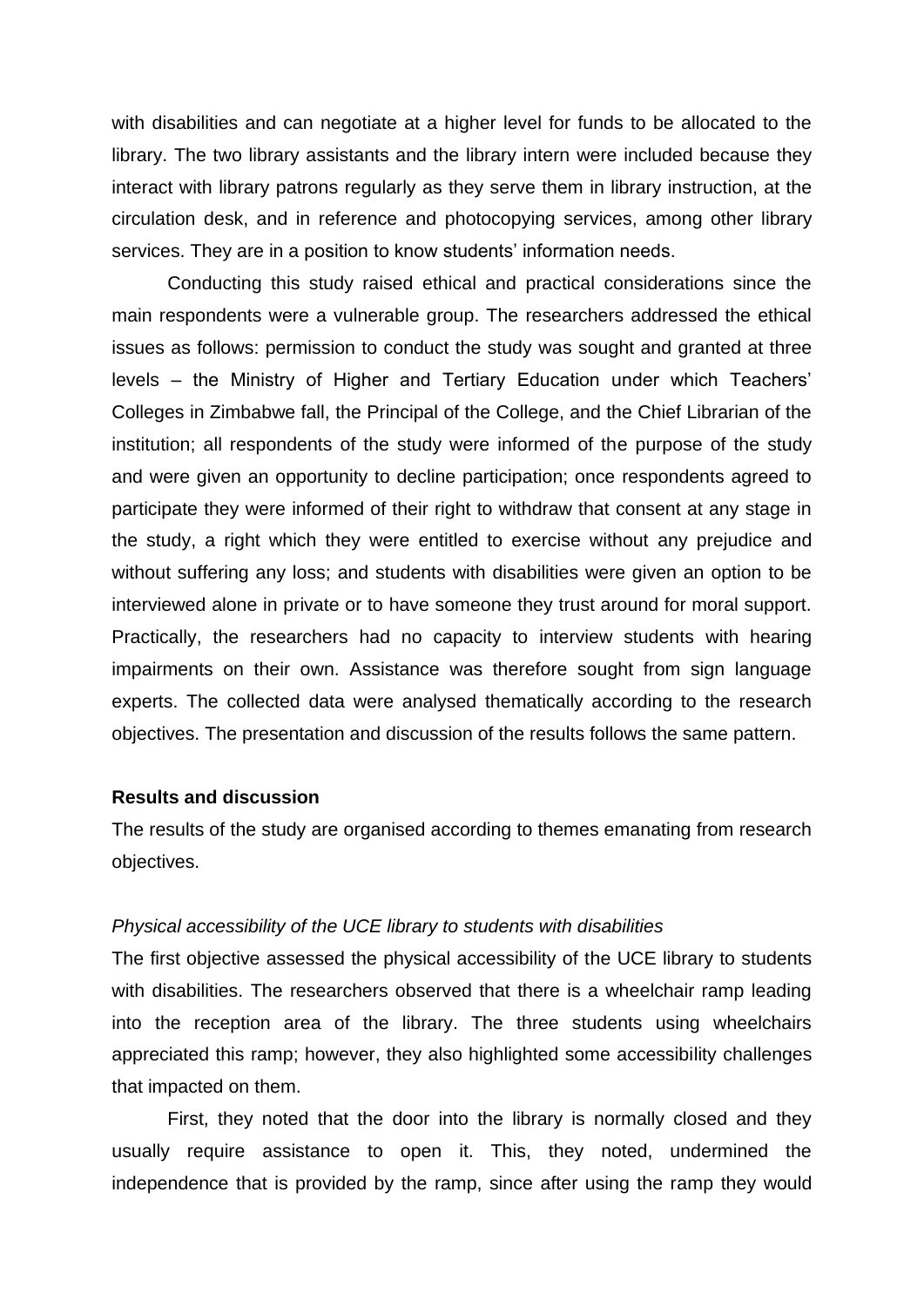with disabilities and can negotiate at a higher level for funds to be allocated to the library. The two library assistants and the library intern were included because they interact with library patrons regularly as they serve them in library instruction, at the circulation desk, and in reference and photocopying services, among other library services. They are in a position to know students' information needs.

Conducting this study raised ethical and practical considerations since the main respondents were a vulnerable group. The researchers addressed the ethical issues as follows: permission to conduct the study was sought and granted at three levels – the Ministry of Higher and Tertiary Education under which Teachers' Colleges in Zimbabwe fall, the Principal of the College, and the Chief Librarian of the institution; all respondents of the study were informed of the purpose of the study and were given an opportunity to decline participation; once respondents agreed to participate they were informed of their right to withdraw that consent at any stage in the study, a right which they were entitled to exercise without any prejudice and without suffering any loss; and students with disabilities were given an option to be interviewed alone in private or to have someone they trust around for moral support. Practically, the researchers had no capacity to interview students with hearing impairments on their own. Assistance was therefore sought from sign language experts. The collected data were analysed thematically according to the research objectives. The presentation and discussion of the results follows the same pattern.

#### **Results and discussion**

The results of the study are organised according to themes emanating from research objectives.

#### *Physical accessibility of the UCE library to students with disabilities*

The first objective assessed the physical accessibility of the UCE library to students with disabilities. The researchers observed that there is a wheelchair ramp leading into the reception area of the library. The three students using wheelchairs appreciated this ramp; however, they also highlighted some accessibility challenges that impacted on them.

First, they noted that the door into the library is normally closed and they usually require assistance to open it. This, they noted, undermined the independence that is provided by the ramp, since after using the ramp they would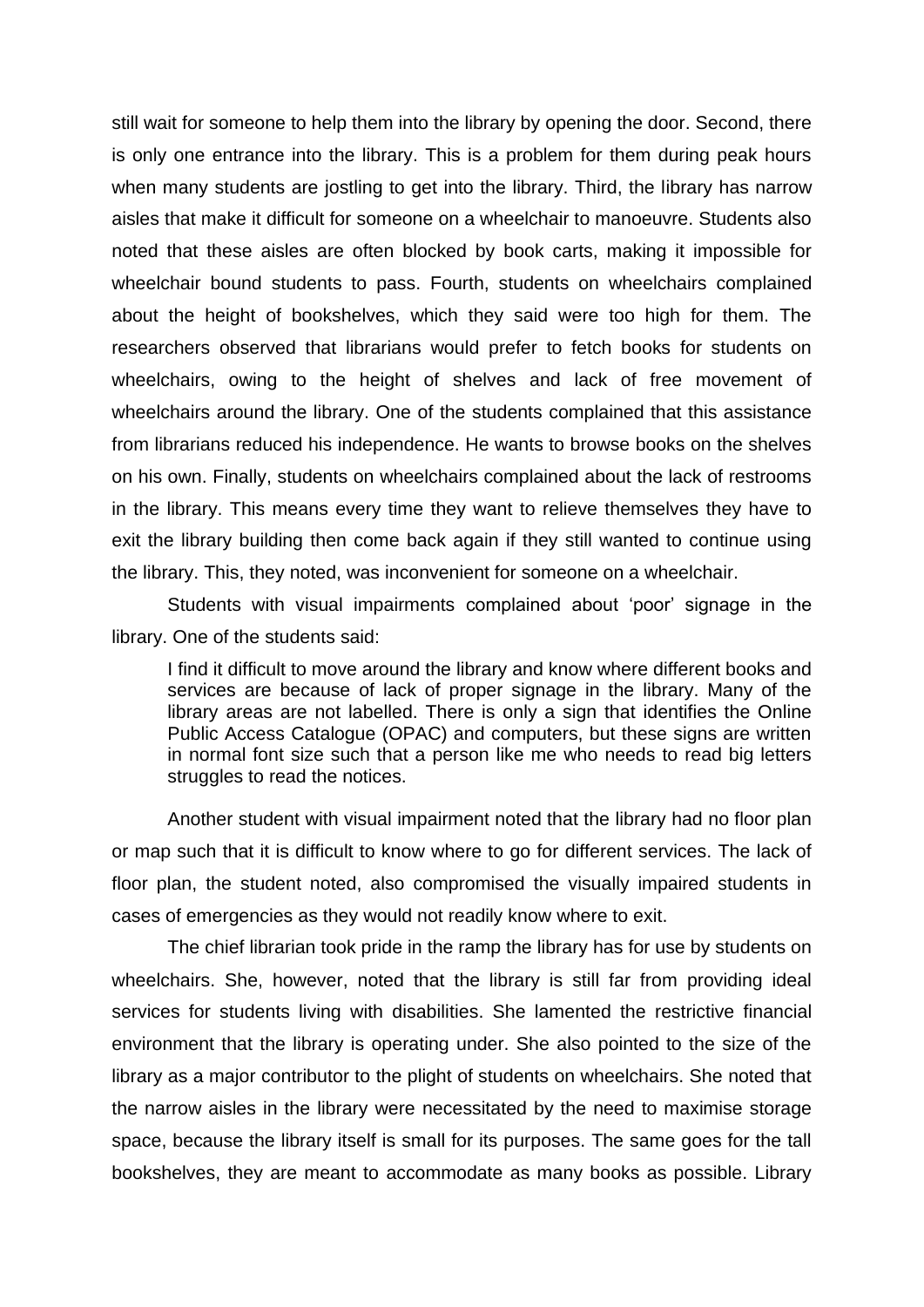still wait for someone to help them into the library by opening the door. Second, there is only one entrance into the library. This is a problem for them during peak hours when many students are jostling to get into the library. Third, the library has narrow aisles that make it difficult for someone on a wheelchair to manoeuvre. Students also noted that these aisles are often blocked by book carts, making it impossible for wheelchair bound students to pass. Fourth, students on wheelchairs complained about the height of bookshelves, which they said were too high for them. The researchers observed that librarians would prefer to fetch books for students on wheelchairs, owing to the height of shelves and lack of free movement of wheelchairs around the library. One of the students complained that this assistance from librarians reduced his independence. He wants to browse books on the shelves on his own. Finally, students on wheelchairs complained about the lack of restrooms in the library. This means every time they want to relieve themselves they have to exit the library building then come back again if they still wanted to continue using the library. This, they noted, was inconvenient for someone on a wheelchair.

Students with visual impairments complained about 'poor' signage in the library. One of the students said:

I find it difficult to move around the library and know where different books and services are because of lack of proper signage in the library. Many of the library areas are not labelled. There is only a sign that identifies the Online Public Access Catalogue (OPAC) and computers, but these signs are written in normal font size such that a person like me who needs to read big letters struggles to read the notices.

Another student with visual impairment noted that the library had no floor plan or map such that it is difficult to know where to go for different services. The lack of floor plan, the student noted, also compromised the visually impaired students in cases of emergencies as they would not readily know where to exit.

The chief librarian took pride in the ramp the library has for use by students on wheelchairs. She, however, noted that the library is still far from providing ideal services for students living with disabilities. She lamented the restrictive financial environment that the library is operating under. She also pointed to the size of the library as a major contributor to the plight of students on wheelchairs. She noted that the narrow aisles in the library were necessitated by the need to maximise storage space, because the library itself is small for its purposes. The same goes for the tall bookshelves, they are meant to accommodate as many books as possible. Library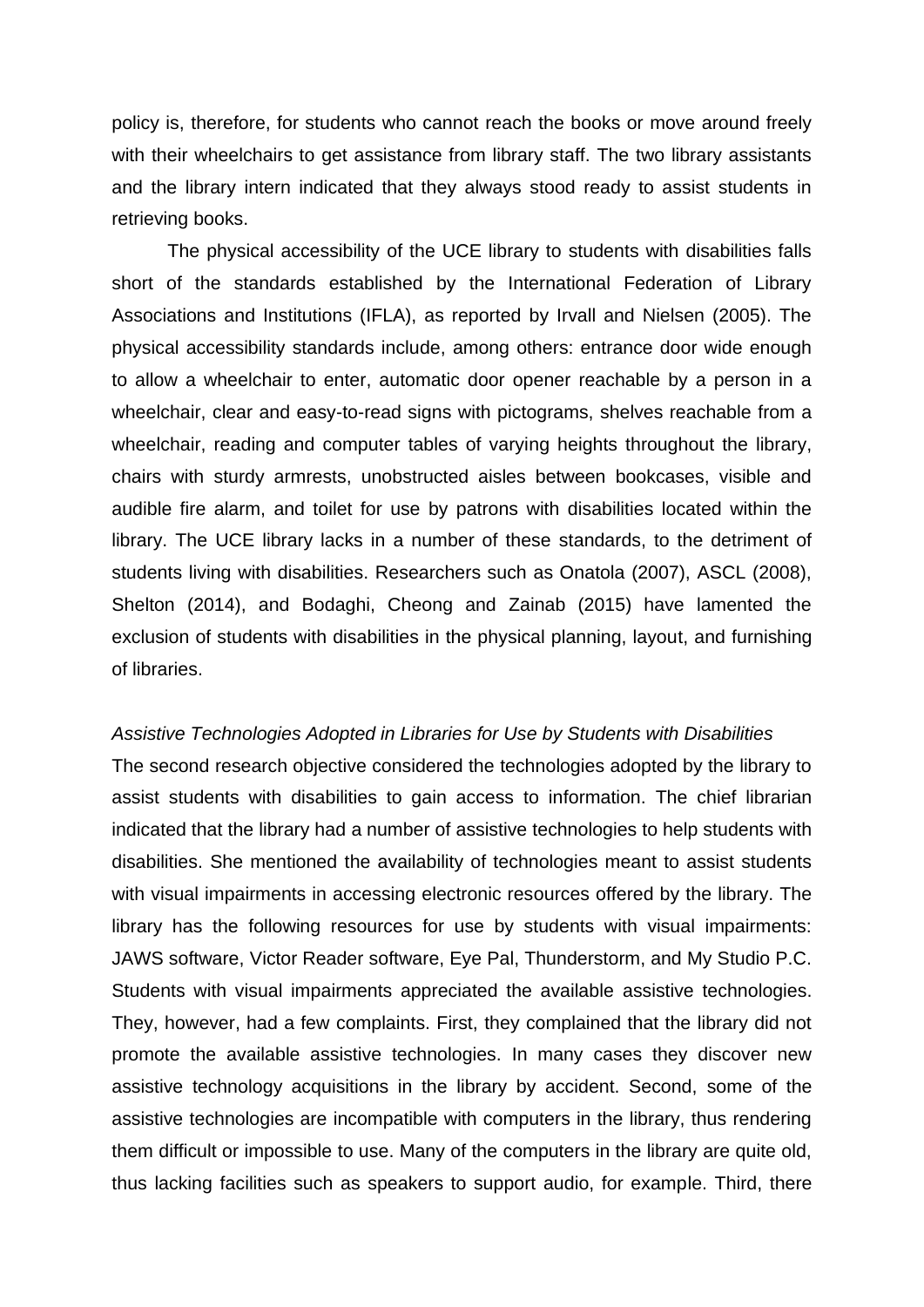policy is, therefore, for students who cannot reach the books or move around freely with their wheelchairs to get assistance from library staff. The two library assistants and the library intern indicated that they always stood ready to assist students in retrieving books.

The physical accessibility of the UCE library to students with disabilities falls short of the standards established by the International Federation of Library Associations and Institutions (IFLA), as reported by Irvall and Nielsen (2005). The physical accessibility standards include, among others: entrance door wide enough to allow a wheelchair to enter, automatic door opener reachable by a person in a wheelchair, clear and easy-to-read signs with pictograms, shelves reachable from a wheelchair, reading and computer tables of varying heights throughout the library, chairs with sturdy armrests, unobstructed aisles between bookcases, visible and audible fire alarm, and toilet for use by patrons with disabilities located within the library. The UCE library lacks in a number of these standards, to the detriment of students living with disabilities. Researchers such as Onatola (2007), ASCL (2008), Shelton (2014), and Bodaghi, Cheong and Zainab (2015) have lamented the exclusion of students with disabilities in the physical planning, layout, and furnishing of libraries.

#### *Assistive Technologies Adopted in Libraries for Use by Students with Disabilities*

The second research objective considered the technologies adopted by the library to assist students with disabilities to gain access to information. The chief librarian indicated that the library had a number of assistive technologies to help students with disabilities. She mentioned the availability of technologies meant to assist students with visual impairments in accessing electronic resources offered by the library. The library has the following resources for use by students with visual impairments: JAWS software, Victor Reader software, Eye Pal, Thunderstorm, and My Studio P.C. Students with visual impairments appreciated the available assistive technologies. They, however, had a few complaints. First, they complained that the library did not promote the available assistive technologies. In many cases they discover new assistive technology acquisitions in the library by accident. Second, some of the assistive technologies are incompatible with computers in the library, thus rendering them difficult or impossible to use. Many of the computers in the library are quite old, thus lacking facilities such as speakers to support audio, for example. Third, there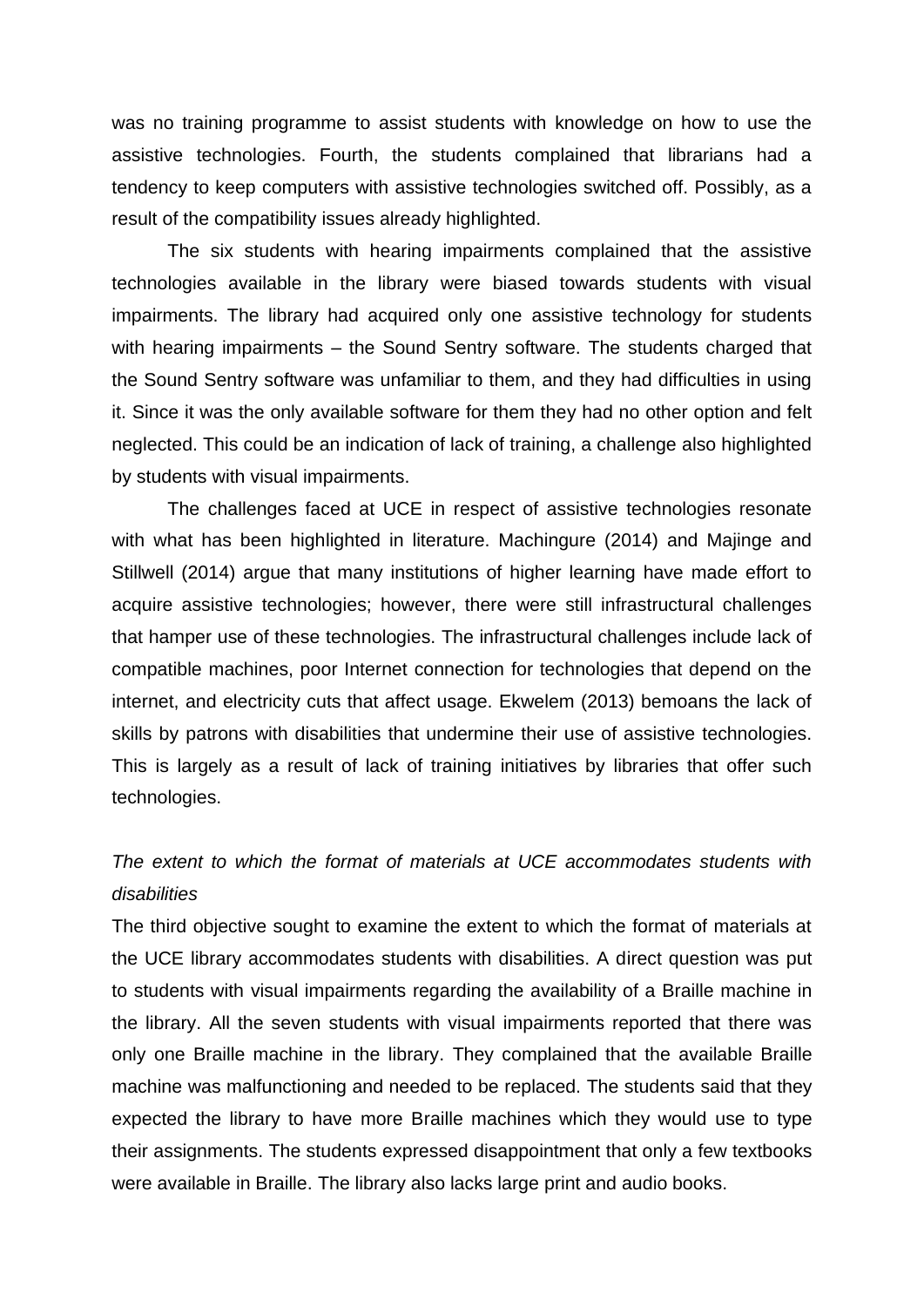was no training programme to assist students with knowledge on how to use the assistive technologies. Fourth, the students complained that librarians had a tendency to keep computers with assistive technologies switched off. Possibly, as a result of the compatibility issues already highlighted.

The six students with hearing impairments complained that the assistive technologies available in the library were biased towards students with visual impairments. The library had acquired only one assistive technology for students with hearing impairments – the Sound Sentry software. The students charged that the Sound Sentry software was unfamiliar to them, and they had difficulties in using it. Since it was the only available software for them they had no other option and felt neglected. This could be an indication of lack of training, a challenge also highlighted by students with visual impairments.

The challenges faced at UCE in respect of assistive technologies resonate with what has been highlighted in literature. Machingure (2014) and Majinge and Stillwell (2014) argue that many institutions of higher learning have made effort to acquire assistive technologies; however, there were still infrastructural challenges that hamper use of these technologies. The infrastructural challenges include lack of compatible machines, poor Internet connection for technologies that depend on the internet, and electricity cuts that affect usage. Ekwelem (2013) bemoans the lack of skills by patrons with disabilities that undermine their use of assistive technologies. This is largely as a result of lack of training initiatives by libraries that offer such technologies.

## *The extent to which the format of materials at UCE accommodates students with disabilities*

The third objective sought to examine the extent to which the format of materials at the UCE library accommodates students with disabilities. A direct question was put to students with visual impairments regarding the availability of a Braille machine in the library. All the seven students with visual impairments reported that there was only one Braille machine in the library. They complained that the available Braille machine was malfunctioning and needed to be replaced. The students said that they expected the library to have more Braille machines which they would use to type their assignments. The students expressed disappointment that only a few textbooks were available in Braille. The library also lacks large print and audio books.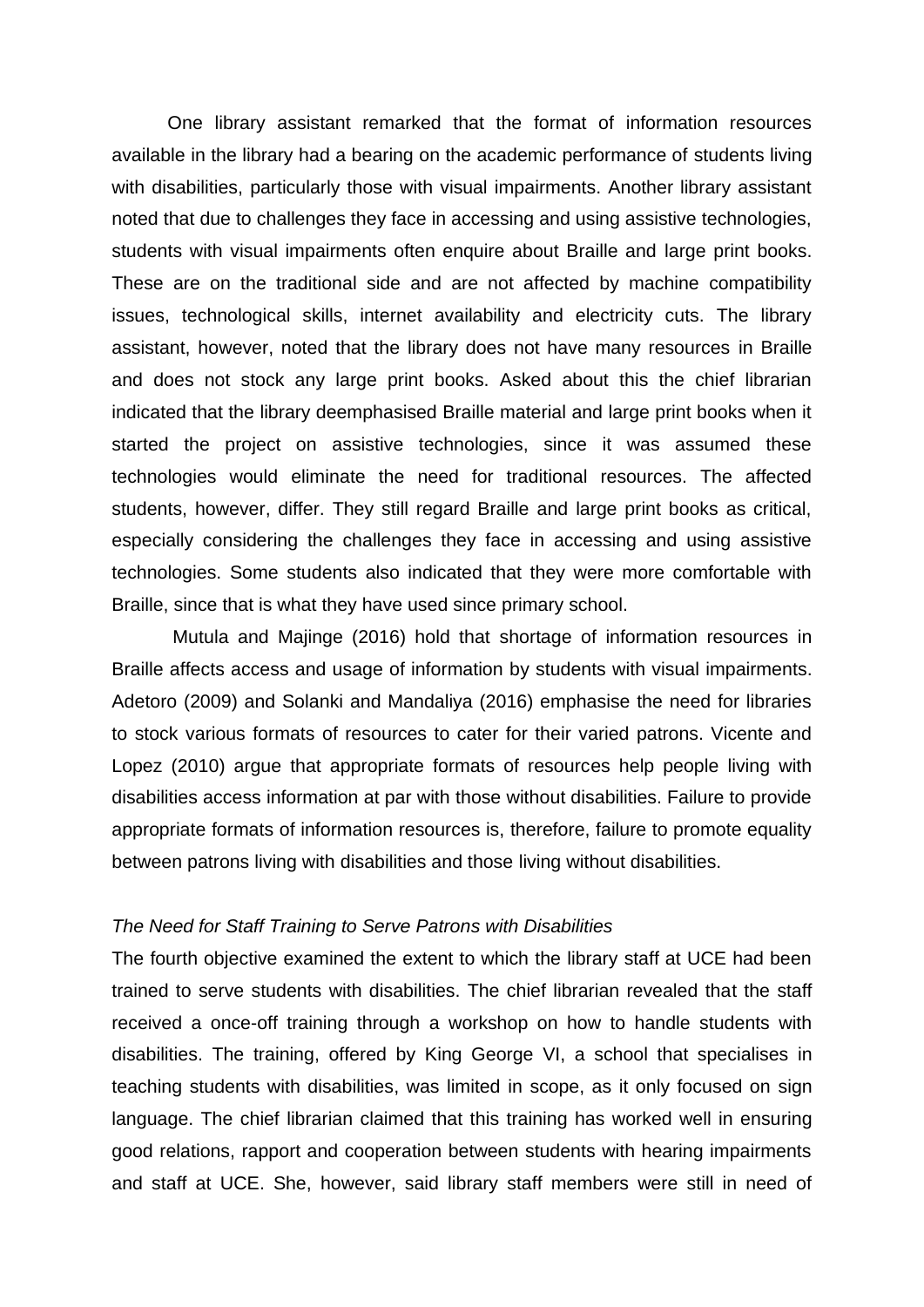One library assistant remarked that the format of information resources available in the library had a bearing on the academic performance of students living with disabilities, particularly those with visual impairments. Another library assistant noted that due to challenges they face in accessing and using assistive technologies, students with visual impairments often enquire about Braille and large print books. These are on the traditional side and are not affected by machine compatibility issues, technological skills, internet availability and electricity cuts. The library assistant, however, noted that the library does not have many resources in Braille and does not stock any large print books. Asked about this the chief librarian indicated that the library deemphasised Braille material and large print books when it started the project on assistive technologies, since it was assumed these technologies would eliminate the need for traditional resources. The affected students, however, differ. They still regard Braille and large print books as critical, especially considering the challenges they face in accessing and using assistive technologies. Some students also indicated that they were more comfortable with Braille, since that is what they have used since primary school.

Mutula and Majinge (2016) hold that shortage of information resources in Braille affects access and usage of information by students with visual impairments. Adetoro (2009) and Solanki and Mandaliya (2016) emphasise the need for libraries to stock various formats of resources to cater for their varied patrons. Vicente and Lopez (2010) argue that appropriate formats of resources help people living with disabilities access information at par with those without disabilities. Failure to provide appropriate formats of information resources is, therefore, failure to promote equality between patrons living with disabilities and those living without disabilities.

#### *The Need for Staff Training to Serve Patrons with Disabilities*

The fourth objective examined the extent to which the library staff at UCE had been trained to serve students with disabilities. The chief librarian revealed that the staff received a once-off training through a workshop on how to handle students with disabilities. The training, offered by King George VI, a school that specialises in teaching students with disabilities, was limited in scope, as it only focused on sign language. The chief librarian claimed that this training has worked well in ensuring good relations, rapport and cooperation between students with hearing impairments and staff at UCE. She, however, said library staff members were still in need of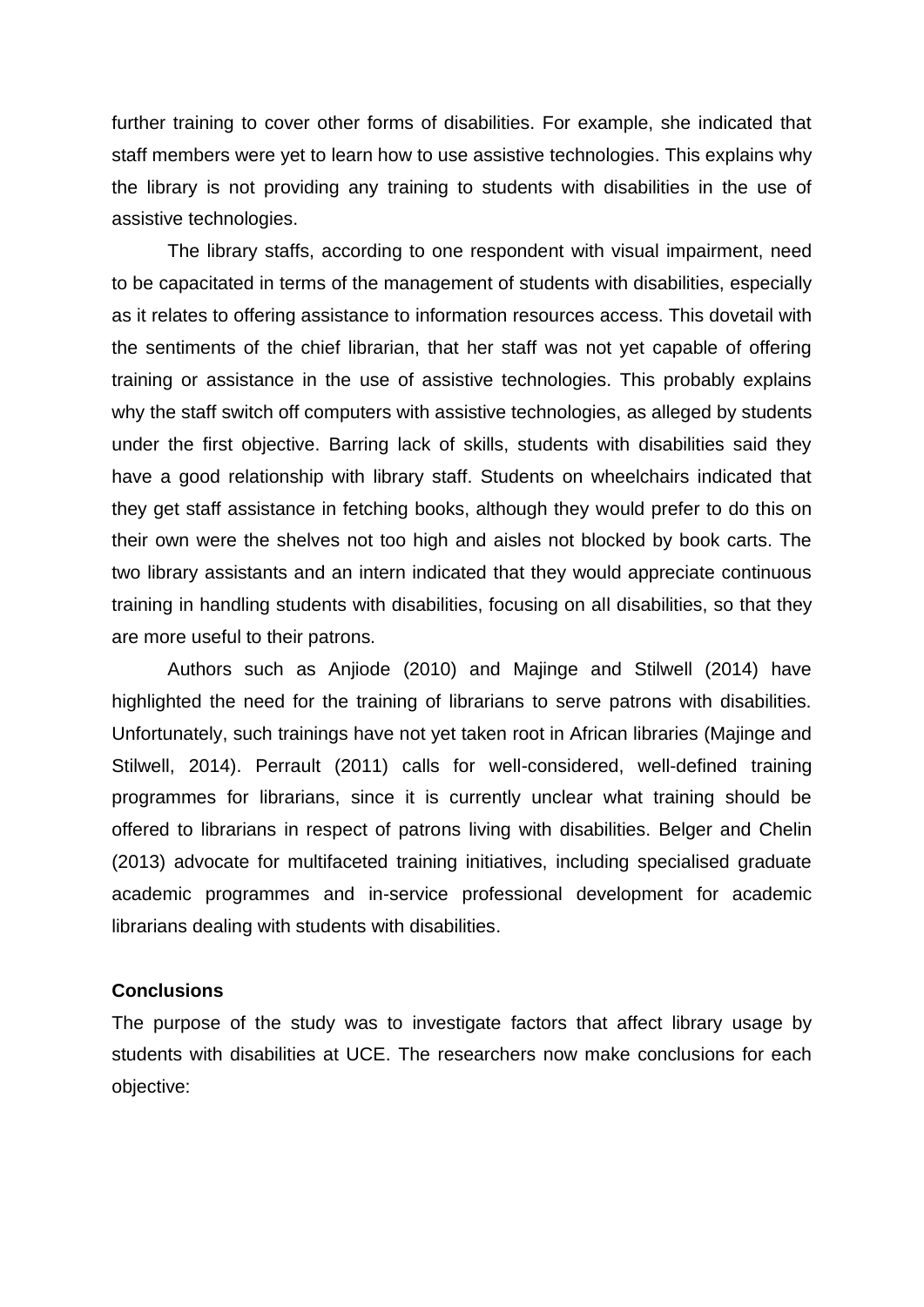further training to cover other forms of disabilities. For example, she indicated that staff members were yet to learn how to use assistive technologies. This explains why the library is not providing any training to students with disabilities in the use of assistive technologies.

The library staffs, according to one respondent with visual impairment, need to be capacitated in terms of the management of students with disabilities, especially as it relates to offering assistance to information resources access. This dovetail with the sentiments of the chief librarian, that her staff was not yet capable of offering training or assistance in the use of assistive technologies. This probably explains why the staff switch off computers with assistive technologies, as alleged by students under the first objective. Barring lack of skills, students with disabilities said they have a good relationship with library staff. Students on wheelchairs indicated that they get staff assistance in fetching books, although they would prefer to do this on their own were the shelves not too high and aisles not blocked by book carts. The two library assistants and an intern indicated that they would appreciate continuous training in handling students with disabilities, focusing on all disabilities, so that they are more useful to their patrons.

Authors such as Anjiode (2010) and Majinge and Stilwell (2014) have highlighted the need for the training of librarians to serve patrons with disabilities. Unfortunately, such trainings have not yet taken root in African libraries (Majinge and Stilwell, 2014). Perrault (2011) calls for well-considered, well-defined training programmes for librarians, since it is currently unclear what training should be offered to librarians in respect of patrons living with disabilities. Belger and Chelin (2013) advocate for multifaceted training initiatives, including specialised graduate academic programmes and in-service professional development for academic librarians dealing with students with disabilities.

#### **Conclusions**

The purpose of the study was to investigate factors that affect library usage by students with disabilities at UCE. The researchers now make conclusions for each objective: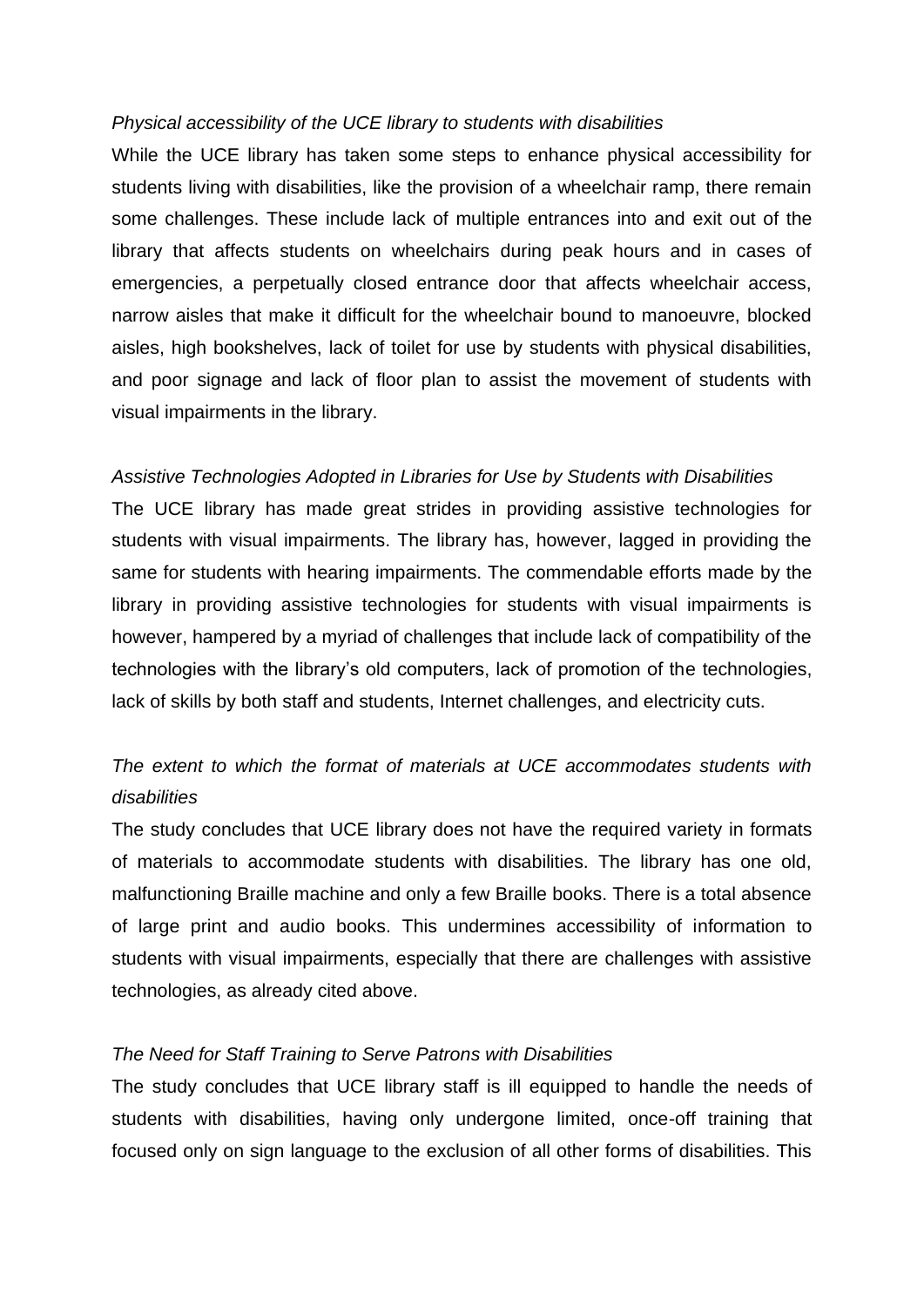#### *Physical accessibility of the UCE library to students with disabilities*

While the UCE library has taken some steps to enhance physical accessibility for students living with disabilities, like the provision of a wheelchair ramp, there remain some challenges. These include lack of multiple entrances into and exit out of the library that affects students on wheelchairs during peak hours and in cases of emergencies, a perpetually closed entrance door that affects wheelchair access, narrow aisles that make it difficult for the wheelchair bound to manoeuvre, blocked aisles, high bookshelves, lack of toilet for use by students with physical disabilities, and poor signage and lack of floor plan to assist the movement of students with visual impairments in the library.

#### *Assistive Technologies Adopted in Libraries for Use by Students with Disabilities*

The UCE library has made great strides in providing assistive technologies for students with visual impairments. The library has, however, lagged in providing the same for students with hearing impairments. The commendable efforts made by the library in providing assistive technologies for students with visual impairments is however, hampered by a myriad of challenges that include lack of compatibility of the technologies with the library's old computers, lack of promotion of the technologies, lack of skills by both staff and students, Internet challenges, and electricity cuts.

## *The extent to which the format of materials at UCE accommodates students with disabilities*

The study concludes that UCE library does not have the required variety in formats of materials to accommodate students with disabilities. The library has one old, malfunctioning Braille machine and only a few Braille books. There is a total absence of large print and audio books. This undermines accessibility of information to students with visual impairments, especially that there are challenges with assistive technologies, as already cited above.

#### *The Need for Staff Training to Serve Patrons with Disabilities*

The study concludes that UCE library staff is ill equipped to handle the needs of students with disabilities, having only undergone limited, once-off training that focused only on sign language to the exclusion of all other forms of disabilities. This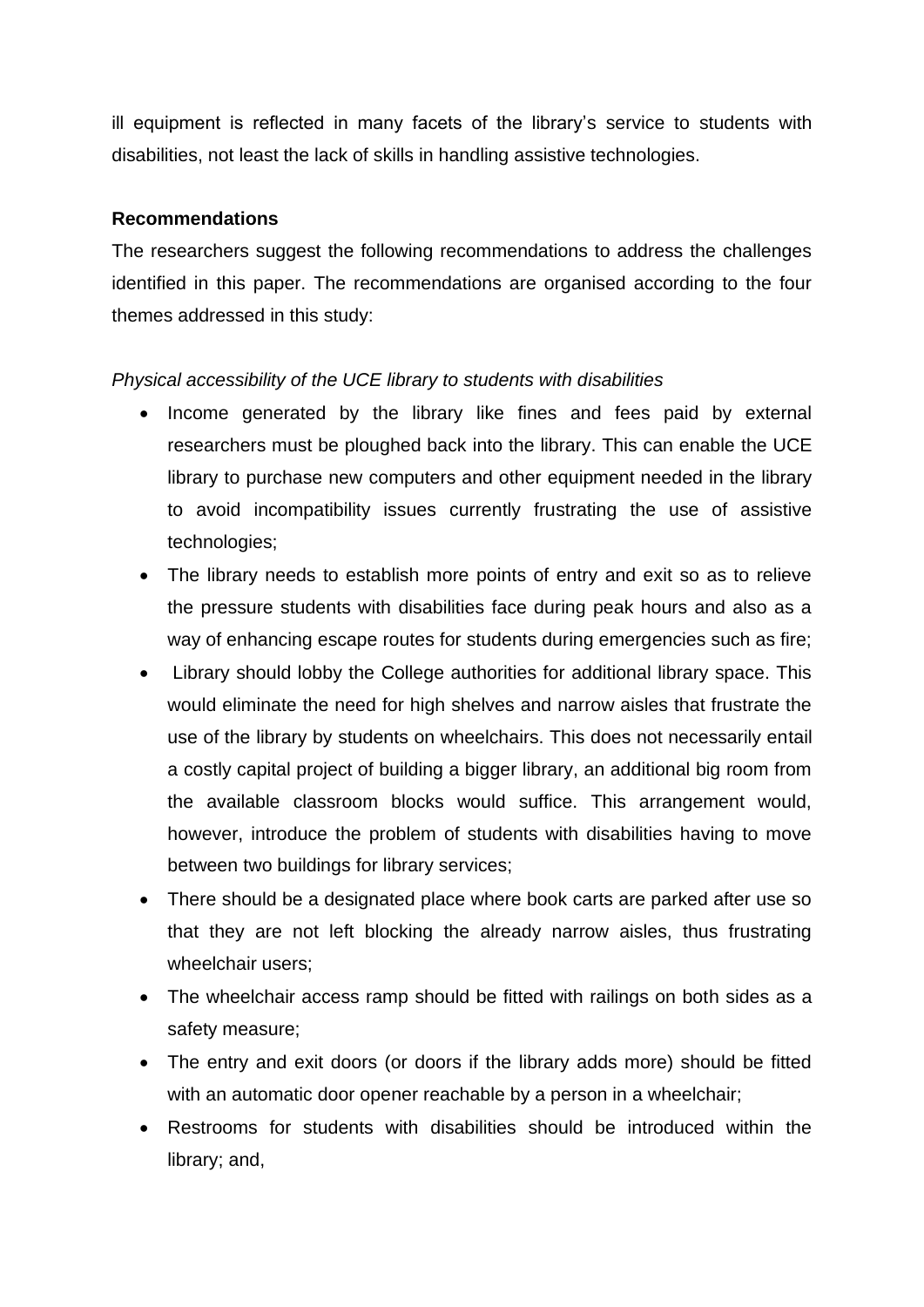ill equipment is reflected in many facets of the library's service to students with disabilities, not least the lack of skills in handling assistive technologies.

### **Recommendations**

The researchers suggest the following recommendations to address the challenges identified in this paper. The recommendations are organised according to the four themes addressed in this study:

### *Physical accessibility of the UCE library to students with disabilities*

- Income generated by the library like fines and fees paid by external researchers must be ploughed back into the library. This can enable the UCE library to purchase new computers and other equipment needed in the library to avoid incompatibility issues currently frustrating the use of assistive technologies;
- The library needs to establish more points of entry and exit so as to relieve the pressure students with disabilities face during peak hours and also as a way of enhancing escape routes for students during emergencies such as fire;
- Library should lobby the College authorities for additional library space. This would eliminate the need for high shelves and narrow aisles that frustrate the use of the library by students on wheelchairs. This does not necessarily entail a costly capital project of building a bigger library, an additional big room from the available classroom blocks would suffice. This arrangement would, however, introduce the problem of students with disabilities having to move between two buildings for library services;
- There should be a designated place where book carts are parked after use so that they are not left blocking the already narrow aisles, thus frustrating wheelchair users;
- The wheelchair access ramp should be fitted with railings on both sides as a safety measure;
- The entry and exit doors (or doors if the library adds more) should be fitted with an automatic door opener reachable by a person in a wheelchair;
- Restrooms for students with disabilities should be introduced within the library; and,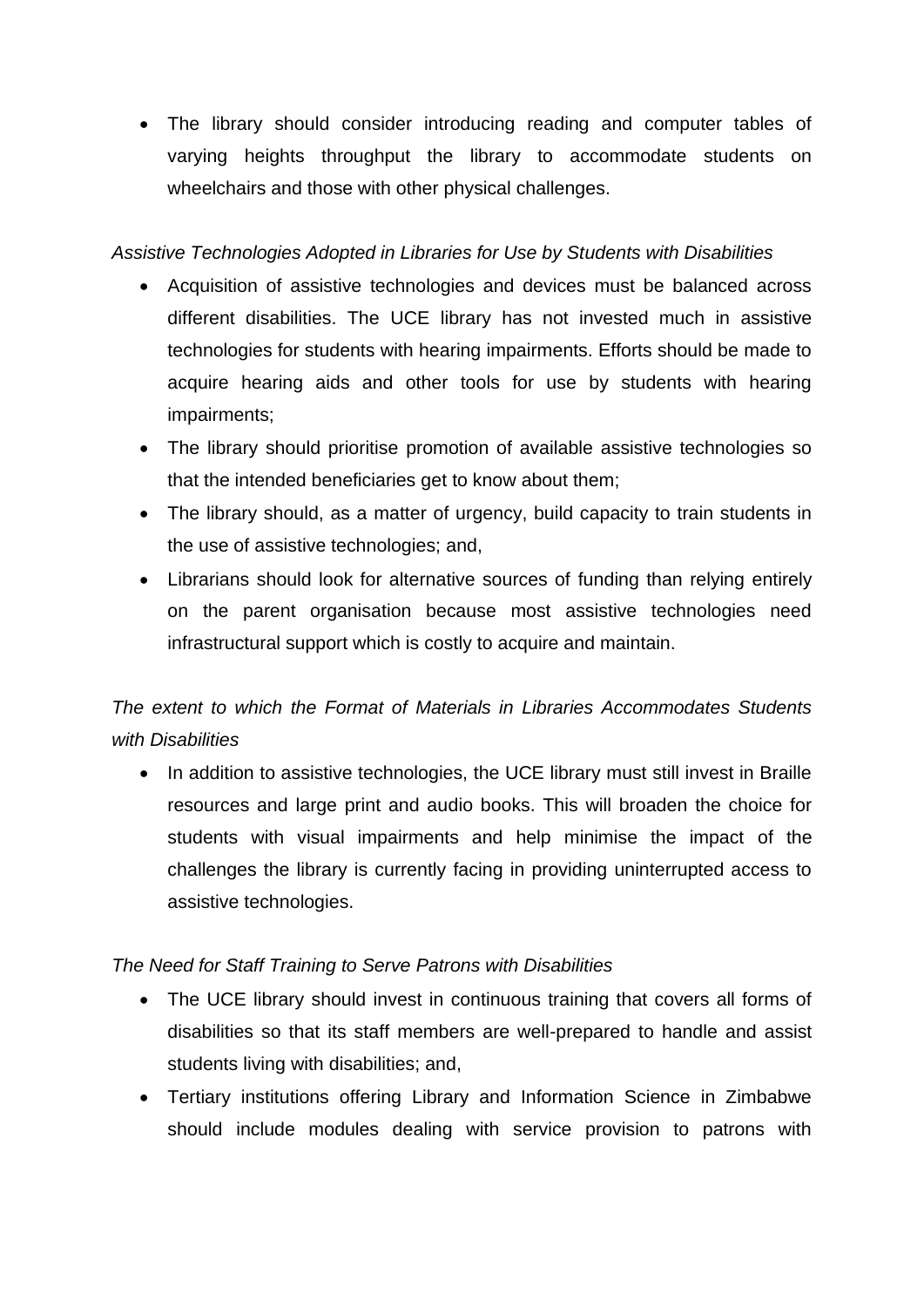• The library should consider introducing reading and computer tables of varying heights throughput the library to accommodate students on wheelchairs and those with other physical challenges.

### *Assistive Technologies Adopted in Libraries for Use by Students with Disabilities*

- Acquisition of assistive technologies and devices must be balanced across different disabilities. The UCE library has not invested much in assistive technologies for students with hearing impairments. Efforts should be made to acquire hearing aids and other tools for use by students with hearing impairments;
- The library should prioritise promotion of available assistive technologies so that the intended beneficiaries get to know about them;
- The library should, as a matter of urgency, build capacity to train students in the use of assistive technologies; and,
- Librarians should look for alternative sources of funding than relying entirely on the parent organisation because most assistive technologies need infrastructural support which is costly to acquire and maintain.

*The extent to which the Format of Materials in Libraries Accommodates Students with Disabilities* 

• In addition to assistive technologies, the UCE library must still invest in Braille resources and large print and audio books. This will broaden the choice for students with visual impairments and help minimise the impact of the challenges the library is currently facing in providing uninterrupted access to assistive technologies.

## *The Need for Staff Training to Serve Patrons with Disabilities*

- The UCE library should invest in continuous training that covers all forms of disabilities so that its staff members are well-prepared to handle and assist students living with disabilities; and,
- Tertiary institutions offering Library and Information Science in Zimbabwe should include modules dealing with service provision to patrons with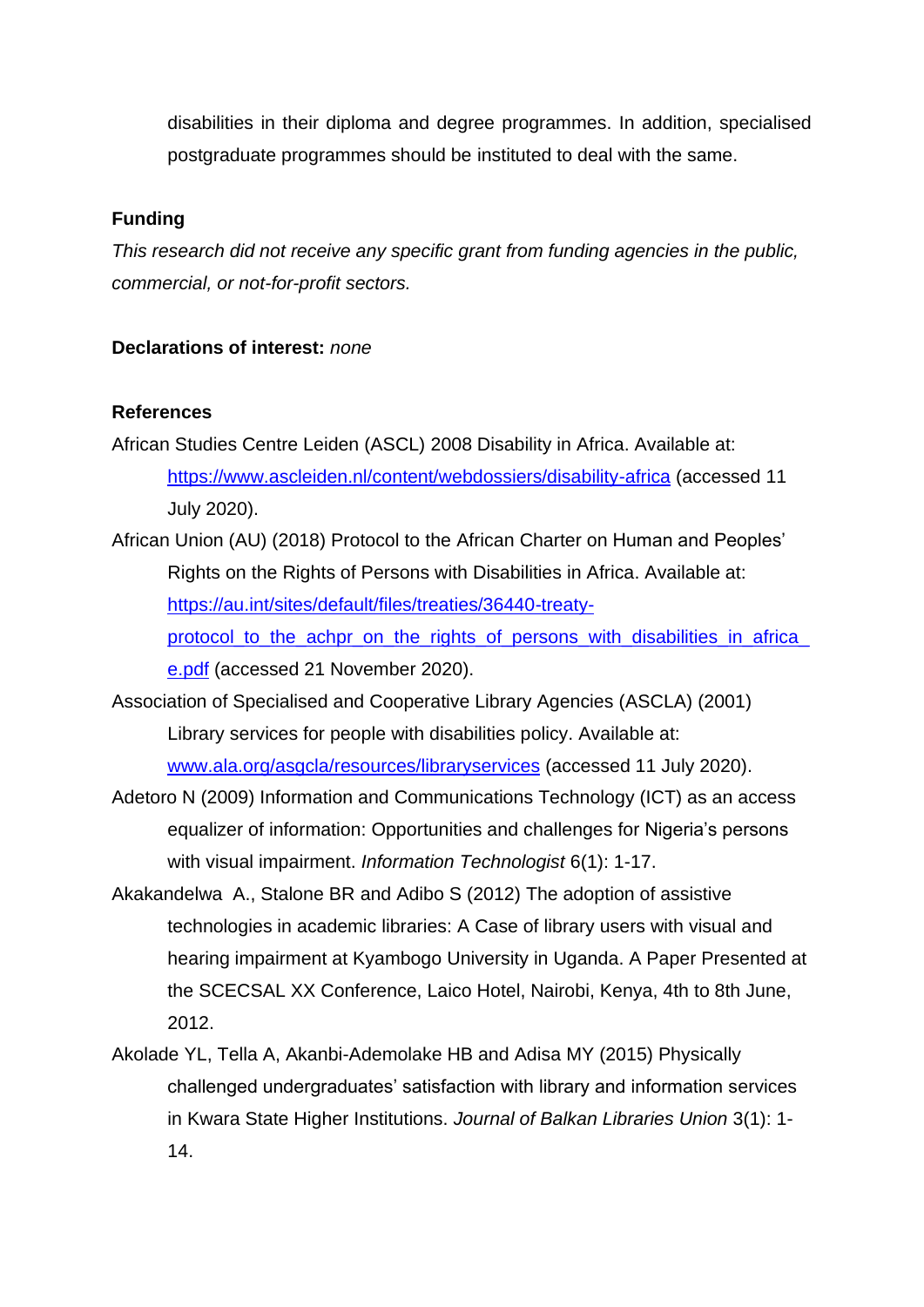disabilities in their diploma and degree programmes. In addition, specialised postgraduate programmes should be instituted to deal with the same.

### **Funding**

*This research did not receive any specific grant from funding agencies in the public, commercial, or not-for-profit sectors.*

## **Declarations of interest:** *none*

### **References**

- African Studies Centre Leiden (ASCL) 2008 Disability in Africa. Available at: <https://www.ascleiden.nl/content/webdossiers/disability-africa> (accessed 11 July 2020).
- African Union (AU) (2018) Protocol to the African Charter on Human and Peoples' Rights on the Rights of Persons with Disabilities in Africa. Available at: [https://au.int/sites/default/files/treaties/36440-treaty](https://au.int/sites/default/files/treaties/36440-treaty-protocol_to_the_achpr_on_the_rights_of_persons_with_disabilities_in_africa_e.pdf)protocol to the achpr on the rights of persons with disabilities in africa [e.pdf](https://au.int/sites/default/files/treaties/36440-treaty-protocol_to_the_achpr_on_the_rights_of_persons_with_disabilities_in_africa_e.pdf) (accessed 21 November 2020).
- Association of Specialised and Cooperative Library Agencies (ASCLA) (2001) Library services for people with disabilities policy. Available at: [www.ala.org/asgcla/resources/libraryservices](http://www.ala.org/asgcla/resources/libraryservices) (accessed 11 July 2020).
- Adetoro N (2009) Information and Communications Technology (ICT) as an access equalizer of information: Opportunities and challenges for Nigeria's persons with visual impairment. *Information Technologist* 6(1): 1-17.
- Akakandelwa A., Stalone BR and Adibo S (2012) The adoption of assistive technologies in academic libraries: A Case of library users with visual and hearing impairment at Kyambogo University in Uganda. A Paper Presented at the SCECSAL XX Conference, Laico Hotel, Nairobi, Kenya, 4th to 8th June, 2012.
- Akolade YL, Tella A, Akanbi-Ademolake HB and Adisa MY (2015) Physically challenged undergraduates' satisfaction with library and information services in Kwara State Higher Institutions. *Journal of Balkan Libraries Union* 3(1): 1- 14.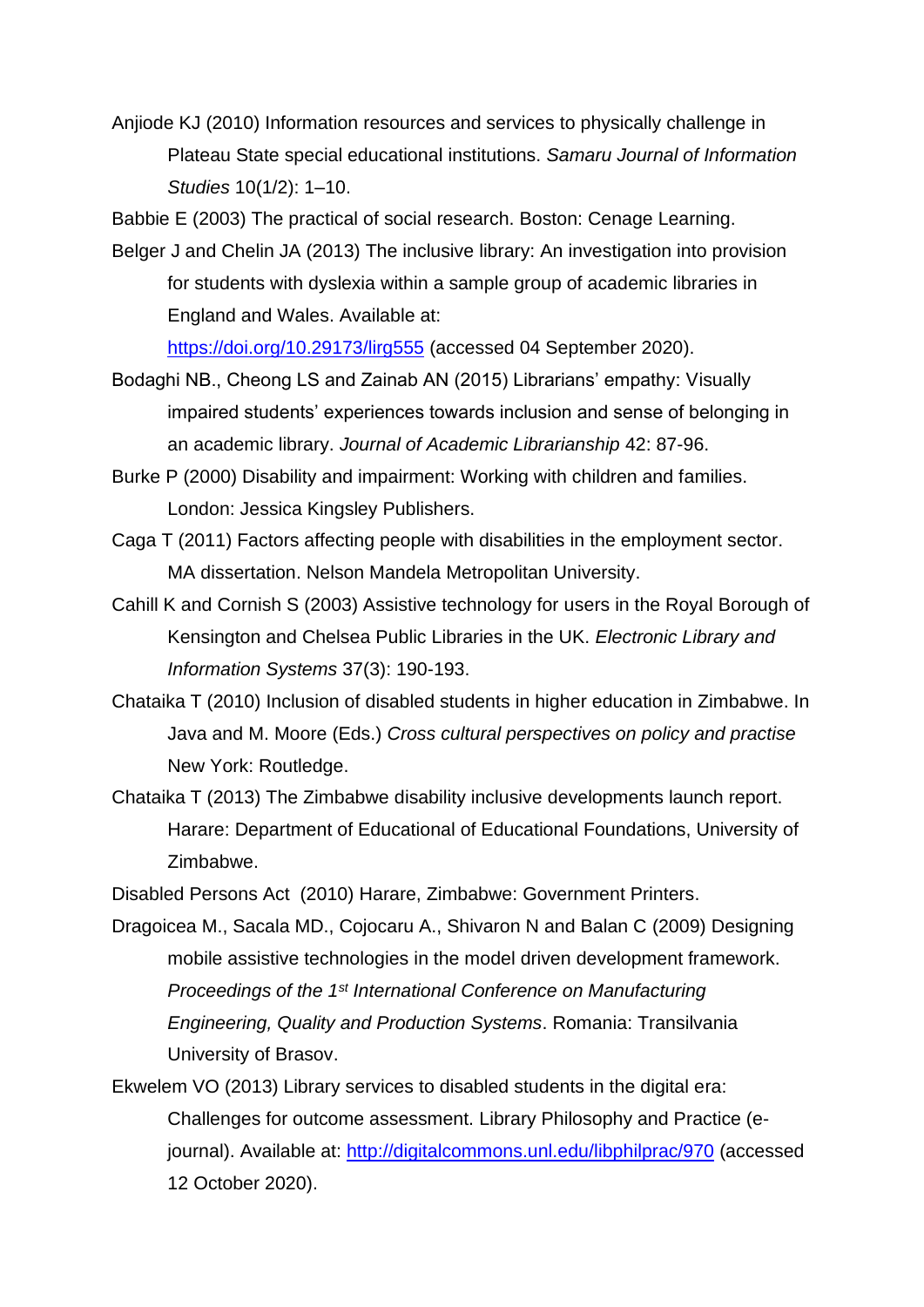Anjiode KJ (2010) Information resources and services to physically challenge in Plateau State special educational institutions. *Samaru Journal of Information Studies* 10(1/2): 1–10.

Babbie E (2003) The practical of social research. Boston: Cenage Learning.

Belger J and Chelin JA (2013) The inclusive library: An investigation into provision for students with dyslexia within a sample group of academic libraries in England and Wales. Available at:

<https://doi.org/10.29173/lirg555> (accessed 04 September 2020).

- Bodaghi NB., Cheong LS and Zainab AN (2015) Librarians' empathy: Visually impaired students' experiences towards inclusion and sense of belonging in an academic library. *Journal of Academic Librarianship* 42: 87-96.
- Burke P (2000) Disability and impairment: Working with children and families. London: Jessica Kingsley Publishers.
- Caga T (2011) Factors affecting people with disabilities in the employment sector. MA dissertation. Nelson Mandela Metropolitan University.
- Cahill K and Cornish S (2003) Assistive technology for users in the Royal Borough of Kensington and Chelsea Public Libraries in the UK. *Electronic Library and Information Systems* 37(3): 190-193.
- Chataika T (2010) Inclusion of disabled students in higher education in Zimbabwe. In Java and M. Moore (Eds.) *Cross cultural perspectives on policy and practise* New York: Routledge.
- Chataika T (2013) The Zimbabwe disability inclusive developments launch report. Harare: Department of Educational of Educational Foundations, University of Zimbabwe.

Disabled Persons Act (2010) Harare, Zimbabwe: Government Printers.

- Dragoicea M., Sacala MD., Cojocaru A., Shivaron N and Balan C (2009) Designing mobile assistive technologies in the model driven development framework. *Proceedings of the 1st International Conference on Manufacturing Engineering, Quality and Production Systems*. Romania: Transilvania University of Brasov.
- Ekwelem VO (2013) Library services to disabled students in the digital era: Challenges for outcome assessment. Library Philosophy and Practice (ejournal). Available at:<http://digitalcommons.unl.edu/libphilprac/970> (accessed 12 October 2020).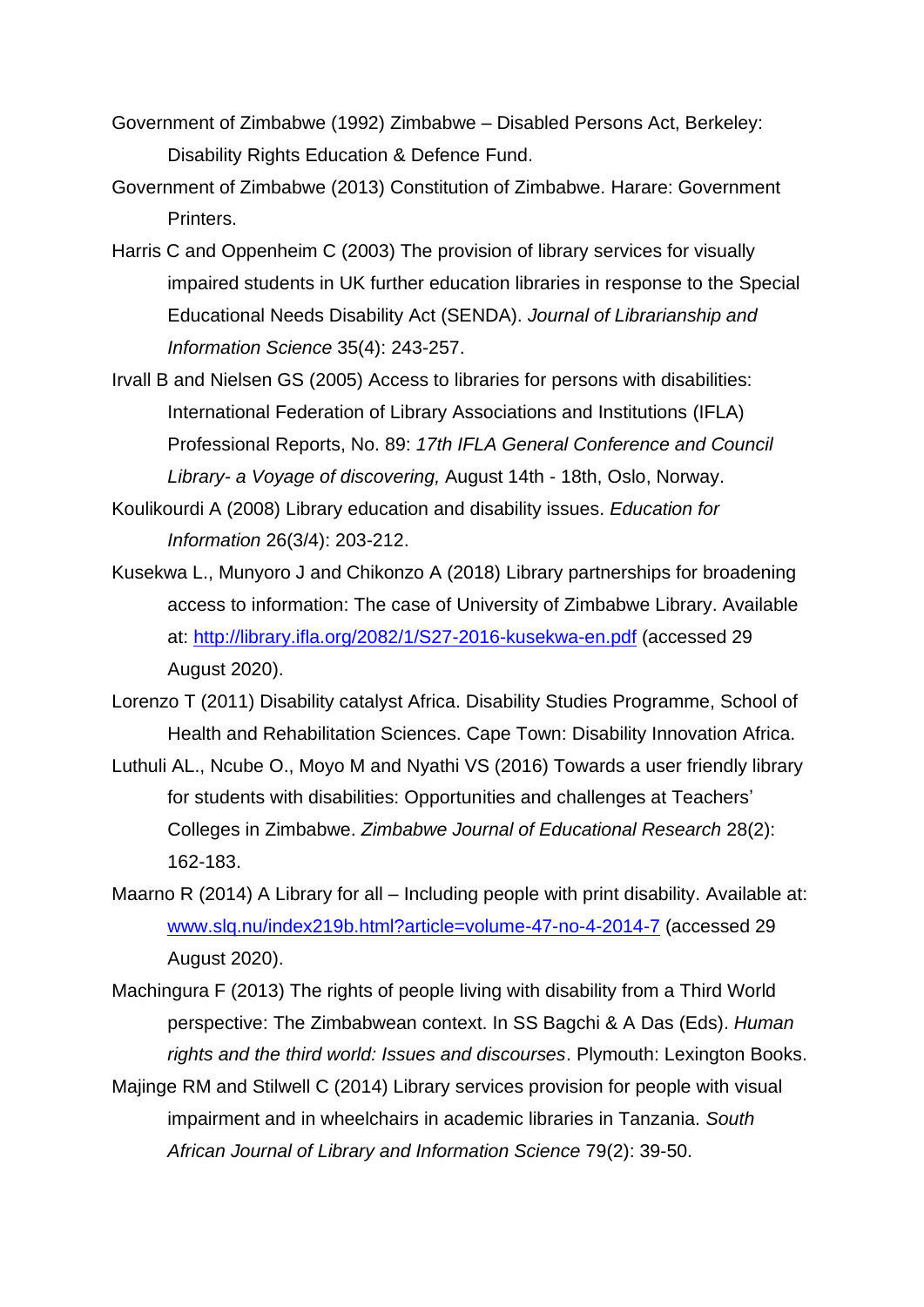- Government of Zimbabwe (1992) Zimbabwe Disabled Persons Act, Berkeley: Disability Rights Education & Defence Fund.
- Government of Zimbabwe (2013) Constitution of Zimbabwe. Harare: Government Printers.
- Harris C and Oppenheim C (2003) The provision of library services for visually impaired students in UK further education libraries in response to the Special Educational Needs Disability Act (SENDA). *Journal of Librarianship and Information Science* 35(4): 243-257.
- Irvall B and Nielsen GS (2005) Access to libraries for persons with disabilities: International Federation of Library Associations and Institutions (IFLA) Professional Reports, No. 89: *17th IFLA General Conference and Council Library- a Voyage of discovering,* August 14th - 18th, Oslo, Norway.
- Koulikourdi A (2008) Library education and disability issues. *Education for Information* 26(3/4): 203-212.
- Kusekwa L., Munyoro J and Chikonzo A (2018) Library partnerships for broadening access to information: The case of University of Zimbabwe Library. Available at:<http://library.ifla.org/2082/1/S27-2016-kusekwa-en.pdf> (accessed 29 August 2020).
- Lorenzo T (2011) Disability catalyst Africa. Disability Studies Programme, School of Health and Rehabilitation Sciences. Cape Town: Disability Innovation Africa.
- Luthuli AL., Ncube O., Moyo M and Nyathi VS (2016) Towards a user friendly library for students with disabilities: Opportunities and challenges at Teachers' Colleges in Zimbabwe. *Zimbabwe Journal of Educational Research* 28(2): 162-183.
- Maarno R (2014) A Library for all Including people with print disability. Available at: [www.slq.nu/index219b.html?article=volume-47-no-4-2014-7](http://www.slq.nu/index219b.html?article=volume-47-no-4-2014-7) (accessed 29 August 2020).
- Machingura F (2013) The rights of people living with disability from a Third World perspective: The Zimbabwean context. In SS Bagchi & A Das (Eds). *Human rights and the third world: Issues and discourses*. Plymouth: Lexington Books.
- Majinge RM and Stilwell C (2014) Library services provision for people with visual impairment and in wheelchairs in academic libraries in Tanzania. *South African Journal of Library and Information Science* 79(2): 39-50.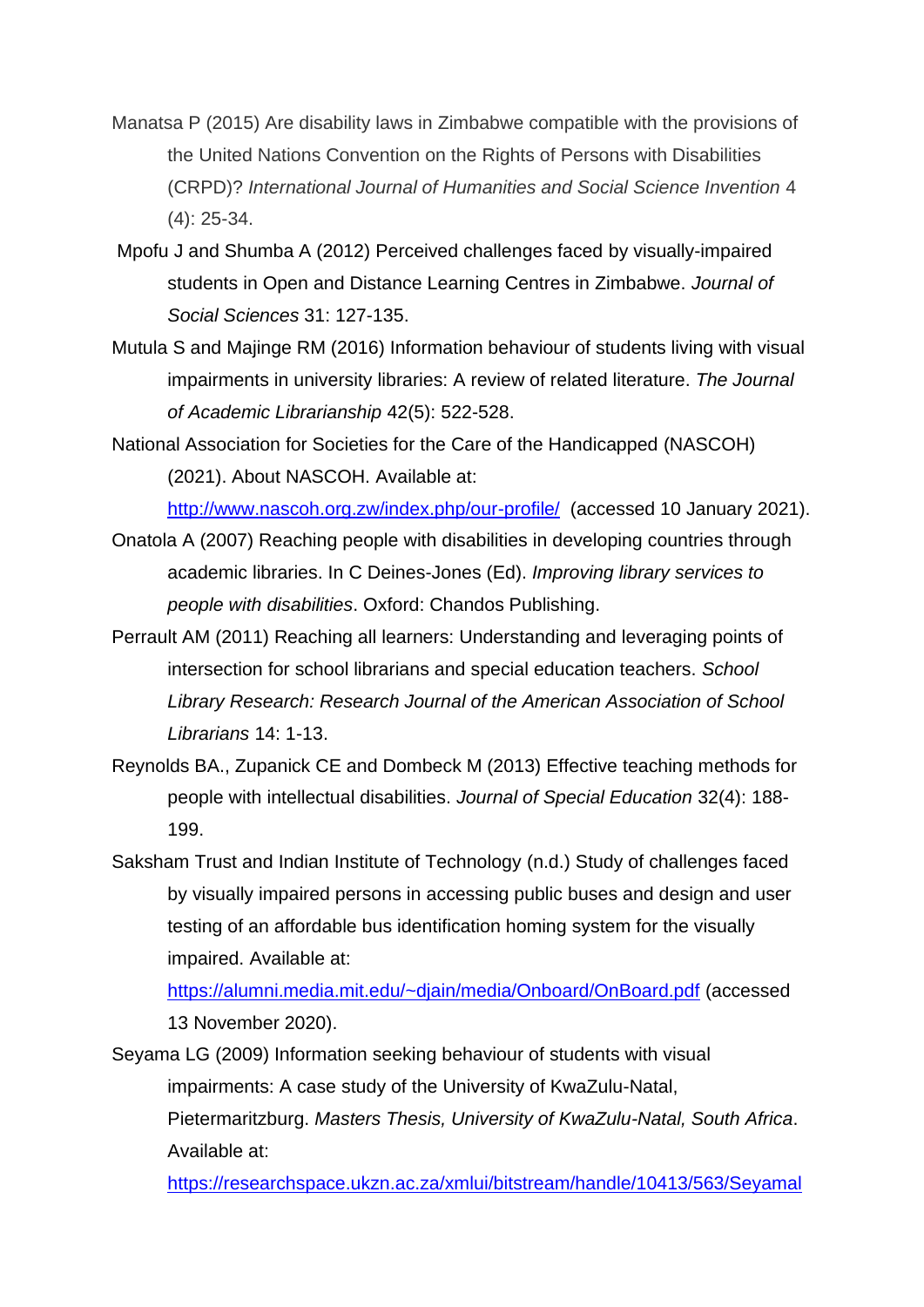- Manatsa P (2015) Are disability laws in Zimbabwe compatible with the provisions of the United Nations Convention on the Rights of Persons with Disabilities (CRPD)? *International Journal of Humanities and Social Science Invention* 4 (4): 25-34.
- Mpofu J and Shumba A (2012) Perceived challenges faced by visually-impaired students in Open and Distance Learning Centres in Zimbabwe. *Journal of Social Sciences* 31: 127-135.
- Mutula S and Majinge RM (2016) Information behaviour of students living with visual impairments in university libraries: A review of related literature. *The Journal of Academic Librarianship* 42(5): 522-528.
- National Association for Societies for the Care of the Handicapped (NASCOH) (2021). About NASCOH. Available at:

<http://www.nascoh.org.zw/index.php/our-profile/>(accessed 10 January 2021).

- Onatola A (2007) Reaching people with disabilities in developing countries through academic libraries. In C Deines-Jones (Ed). *Improving library services to people with disabilities*. Oxford: Chandos Publishing.
- Perrault AM (2011) Reaching all learners: Understanding and leveraging points of intersection for school librarians and special education teachers. *School Library Research: Research Journal of the American Association of School Librarians* 14: 1-13.
- Reynolds BA., Zupanick CE and Dombeck M (2013) Effective teaching methods for people with intellectual disabilities. *Journal of Special Education* 32(4): 188- 199.
- Saksham Trust and Indian Institute of Technology (n.d.) Study of challenges faced by visually impaired persons in accessing public buses and design and user testing of an affordable bus identification homing system for the visually impaired. Available at:

<https://alumni.media.mit.edu/~djain/media/Onboard/OnBoard.pdf> (accessed 13 November 2020).

Seyama LG (2009) Information seeking behaviour of students with visual impairments: A case study of the University of KwaZulu-Natal, Pietermaritzburg. *Masters Thesis, University of KwaZulu-Natal, South Africa*. Available at:

[https://researchspace.ukzn.ac.za/xmlui/bitstream/handle/10413/563/Seyamal](https://researchspace.ukzn.ac.za/xmlui/bitstream/handle/10413/563/Seyamal_Lungile_Goodness_2009.pdf?sequence=4&isAllowed=y)